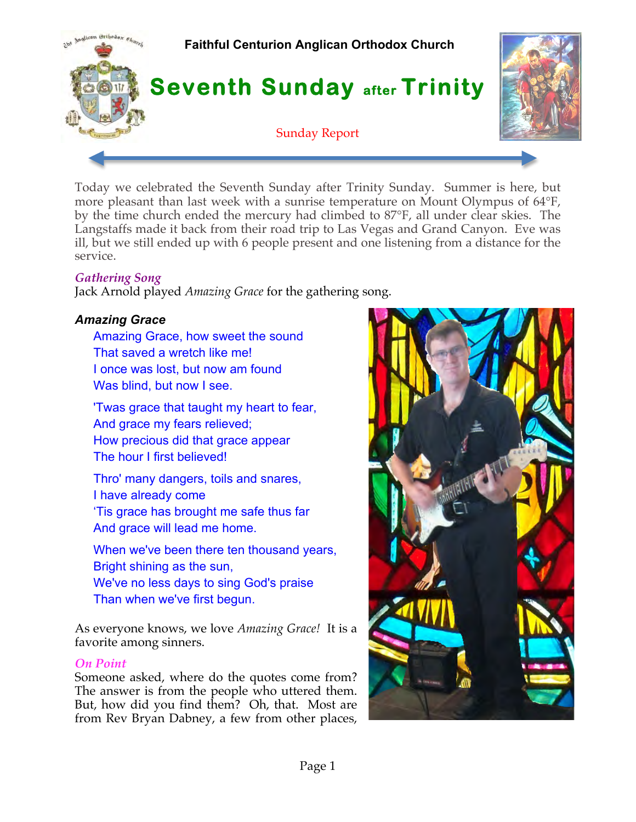

Today we celebrated the Seventh Sunday after Trinity Sunday. Summer is here, but more pleasant than last week with a sunrise temperature on Mount Olympus of 64°F, by the time church ended the mercury had climbed to 87°F, all under clear skies. The Langstaffs made it back from their road trip to Las Vegas and Grand Canyon. Eve was ill, but we still ended up with 6 people present and one listening from a distance for the service.

### *Gathering Song*

Jack Arnold played *Amazing Grace* for the gathering song.

## *Amazing Grace*

- Amazing Grace, how sweet the sound That saved a wretch like me! I once was lost, but now am found Was blind, but now I see.
- 'Twas grace that taught my heart to fear, And grace my fears relieved; How precious did that grace appear The hour I first believed!
- Thro' many dangers, toils and snares, I have already come 'Tis grace has brought me safe thus far And grace will lead me home.
- When we've been there ten thousand years, Bright shining as the sun, We've no less days to sing God's praise Than when we've first begun.

As everyone knows, we love *Amazing Grace!* It is a favorite among sinners.

### *On Point*

Someone asked, where do the quotes come from? The answer is from the people who uttered them. But, how did you find them? Oh, that. Most are from Rev Bryan Dabney, a few from other places,

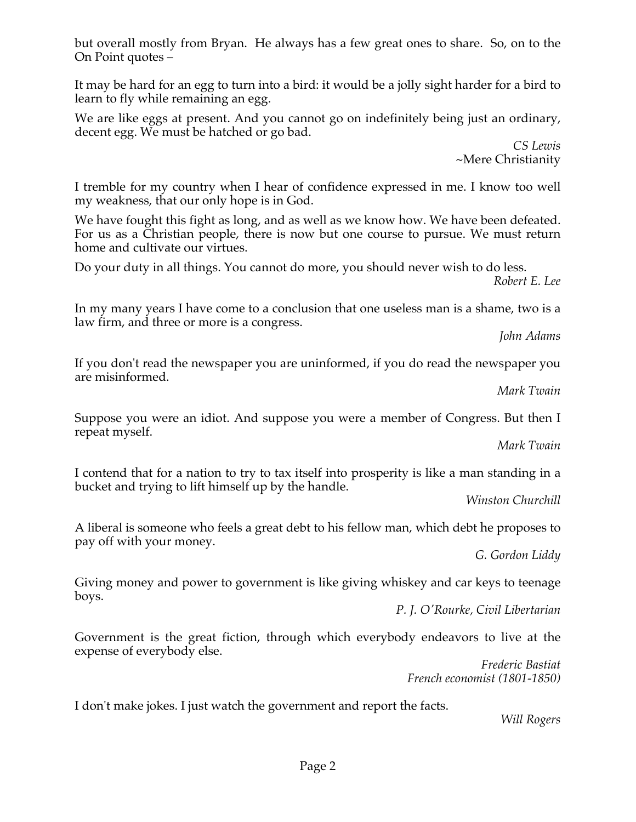but overall mostly from Bryan. He always has a few great ones to share. So, on to the On Point quotes –

It may be hard for an egg to turn into a bird: it would be a jolly sight harder for a bird to learn to fly while remaining an egg.

We are like eggs at present. And you cannot go on indefinitely being just an ordinary, decent egg. We must be hatched or go bad.

*CS Lewis* ~Mere Christianity

I tremble for my country when I hear of confidence expressed in me. I know too well my weakness, that our only hope is in God.

We have fought this fight as long, and as well as we know how. We have been defeated. For us as a Christian people, there is now but one course to pursue. We must return home and cultivate our virtues.

Do your duty in all things. You cannot do more, you should never wish to do less.

*Robert E. Lee*

In my many years I have come to a conclusion that one useless man is a shame, two is a law firm, and three or more is a congress.

 *John Adams*

If you don't read the newspaper you are uninformed, if you do read the newspaper you are misinformed.

*Mark Twain*

Suppose you were an idiot. And suppose you were a member of Congress. But then I repeat myself.

*Mark Twain*

I contend that for a nation to try to tax itself into prosperity is like a man standing in a bucket and trying to lift himself up by the handle.

*Winston Churchill*

A liberal is someone who feels a great debt to his fellow man, which debt he proposes to pay off with your money.

*G. Gordon Liddy*

Giving money and power to government is like giving whiskey and car keys to teenage boys.

*P. J. O'Rourke, Civil Libertarian*

Government is the great fiction, through which everybody endeavors to live at the expense of everybody else.

> *Frederic Bastiat French economist (1801-1850)*

I don't make jokes. I just watch the government and report the facts.

*Will Rogers*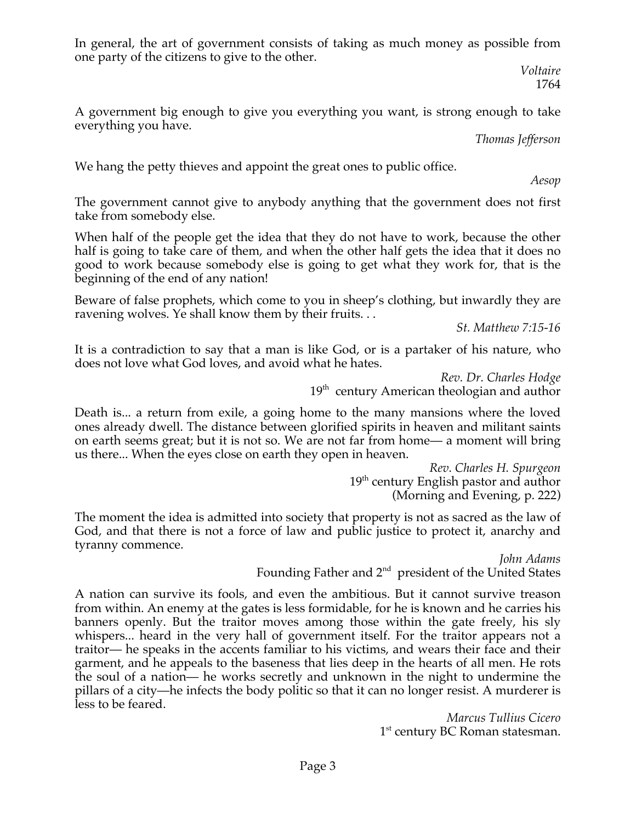In general, the art of government consists of taking as much money as possible from one party of the citizens to give to the other.

> *Voltaire*  1764

A government big enough to give you everything you want, is strong enough to take everything you have.

*Thomas Jefferson*

We hang the petty thieves and appoint the great ones to public office.

*Aesop*

The government cannot give to anybody anything that the government does not first take from somebody else.

When half of the people get the idea that they do not have to work, because the other half is going to take care of them, and when the other half gets the idea that it does no good to work because somebody else is going to get what they work for, that is the beginning of the end of any nation!

Beware of false prophets, which come to you in sheep's clothing, but inwardly they are ravening wolves. Ye shall know them by their fruits...

*St. Matthew 7:15-16* 

It is a contradiction to say that a man is like God, or is a partaker of his nature, who does not love what God loves, and avoid what he hates.

*Rev. Dr. Charles Hodge*  $19<sup>th</sup>$  century American theologian and author

Death is... a return from exile, a going home to the many mansions where the loved ones already dwell. The distance between glorified spirits in heaven and militant saints on earth seems great; but it is not so. We are not far from home— a moment will bring us there... When the eyes close on earth they open in heaven.

*Rev. Charles H. Spurgeon*  $19<sup>th</sup>$  century English pastor and author (Morning and Evening, p. 222)

The moment the idea is admitted into society that property is not as sacred as the law of God, and that there is not a force of law and public justice to protect it, anarchy and tyranny commence.

*John Adams* Founding Father and 2<sup>nd</sup> president of the United States

A nation can survive its fools, and even the ambitious. But it cannot survive treason from within. An enemy at the gates is less formidable, for he is known and he carries his banners openly. But the traitor moves among those within the gate freely, his sly whispers... heard in the very hall of government itself. For the traitor appears not a traitor— he speaks in the accents familiar to his victims, and wears their face and their garment, and he appeals to the baseness that lies deep in the hearts of all men. He rots the soul of a nation— he works secretly and unknown in the night to undermine the pillars of a city—he infects the body politic so that it can no longer resist. A murderer is less to be feared.

*Marcus Tullius Cicero* 1<sup>st</sup> century BC Roman statesman.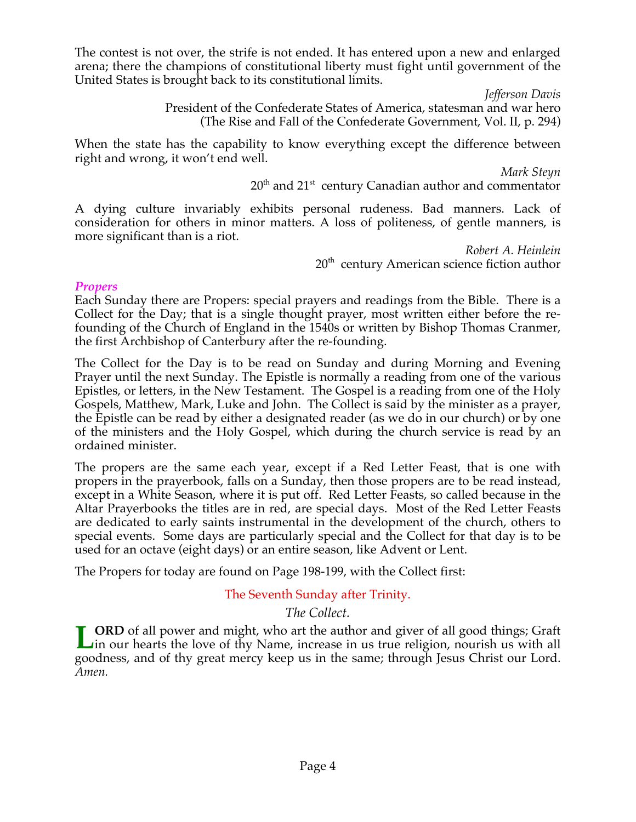The contest is not over, the strife is not ended. It has entered upon a new and enlarged arena; there the champions of constitutional liberty must fight until government of the United States is brought back to its constitutional limits.

*Jefferson Davis*

President of the Confederate States of America, statesman and war hero (The Rise and Fall of the Confederate Government, Vol. II, p. 294)

When the state has the capability to know everything except the difference between right and wrong, it won't end well.

*Mark Steyn*

 $20<sup>th</sup>$  and  $21<sup>st</sup>$  century Canadian author and commentator

A dying culture invariably exhibits personal rudeness. Bad manners. Lack of consideration for others in minor matters. A loss of politeness, of gentle manners, is more significant than is a riot.

> *Robert A. Heinlein* 20<sup>th</sup> century American science fiction author

#### *Propers*

Each Sunday there are Propers: special prayers and readings from the Bible. There is a Collect for the Day; that is a single thought prayer, most written either before the refounding of the Church of England in the 1540s or written by Bishop Thomas Cranmer, the first Archbishop of Canterbury after the re-founding.

The Collect for the Day is to be read on Sunday and during Morning and Evening Prayer until the next Sunday. The Epistle is normally a reading from one of the various Epistles, or letters, in the New Testament. The Gospel is a reading from one of the Holy Gospels, Matthew, Mark, Luke and John. The Collect is said by the minister as a prayer, the Epistle can be read by either a designated reader (as we do in our church) or by one of the ministers and the Holy Gospel, which during the church service is read by an ordained minister.

The propers are the same each year, except if a Red Letter Feast, that is one with propers in the prayerbook, falls on a Sunday, then those propers are to be read instead, except in a White Season, where it is put off. Red Letter Feasts, so called because in the Altar Prayerbooks the titles are in red, are special days. Most of the Red Letter Feasts are dedicated to early saints instrumental in the development of the church, others to special events. Some days are particularly special and the Collect for that day is to be used for an octave (eight days) or an entire season, like Advent or Lent.

The Propers for today are found on Page 198-199, with the Collect first:

## The Seventh Sunday after Trinity.

## *The Collect.*

**ORD** of all power and might, who art the author and giver of all good things; Graft **IORD** of all power and might, who art the author and giver of all good things; Graft in our hearts the love of thy Name, increase in us true religion, nourish us with all and a share and set of the vertex of the state of goodness, and of thy great mercy keep us in the same; through Jesus Christ our Lord. *Amen.*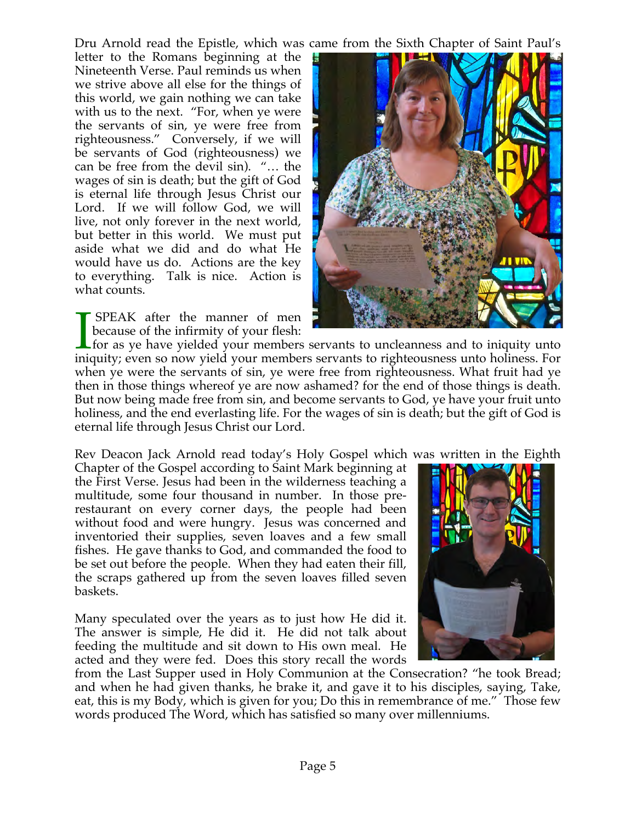Dru Arnold read the Epistle, which was came from the Sixth Chapter of Saint Paul's

letter to the Romans beginning at the Nineteenth Verse. Paul reminds us when we strive above all else for the things of this world, we gain nothing we can take with us to the next. "For, when ye were the servants of sin, ye were free from righteousness." Conversely, if we will be servants of God (righteousness) we can be free from the devil sin). "… the wages of sin is death; but the gift of God is eternal life through Jesus Christ our Lord. If we will follow God, we will live, not only forever in the next world, but better in this world. We must put aside what we did and do what He would have us do. Actions are the key to everything. Talk is nice. Action is what counts.

 SPEAK after the manner of men because of the infirmity of your flesh: **I** 



for as ye have yielded your members servants to uncleanness and to iniquity unto iniquity; even so now yield your members servants to righteousness unto holiness. For when ye were the servants of sin, ye were free from righteousness. What fruit had ye then in those things whereof ye are now ashamed? for the end of those things is death. But now being made free from sin, and become servants to God, ye have your fruit unto holiness, and the end everlasting life. For the wages of sin is death; but the gift of God is eternal life through Jesus Christ our Lord.

Rev Deacon Jack Arnold read today's Holy Gospel which was written in the Eighth

Chapter of the Gospel according to Saint Mark beginning at the First Verse. Jesus had been in the wilderness teaching a multitude, some four thousand in number. In those prerestaurant on every corner days, the people had been without food and were hungry. Jesus was concerned and inventoried their supplies, seven loaves and a few small fishes. He gave thanks to God, and commanded the food to be set out before the people. When they had eaten their fill, the scraps gathered up from the seven loaves filled seven baskets.

Many speculated over the years as to just how He did it. The answer is simple, He did it. He did not talk about feeding the multitude and sit down to His own meal. He acted and they were fed. Does this story recall the words



from the Last Supper used in Holy Communion at the Consecration? "he took Bread; and when he had given thanks, he brake it, and gave it to his disciples, saying, Take, eat, this is my Body, which is given for you; Do this in remembrance of me." Those few words produced The Word, which has satisfied so many over millenniums.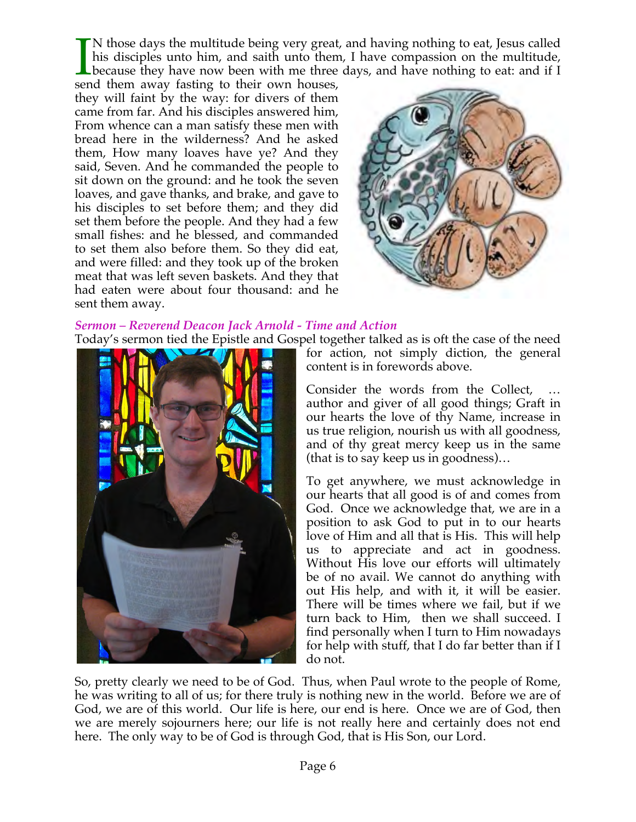N those days the multitude being very great, and having nothing to eat, Jesus called his disciples unto him, and saith unto them, I have compassion on the multitude, because they have now been with me three days, and have nothing to eat: and if I  $\prod_{\rm sen}$ 

send them away fasting to their own houses, they will faint by the way: for divers of them came from far. And his disciples answered him, From whence can a man satisfy these men with bread here in the wilderness? And he asked them, How many loaves have ye? And they said, Seven. And he commanded the people to sit down on the ground: and he took the seven loaves, and gave thanks, and brake, and gave to his disciples to set before them; and they did set them before the people. And they had a few small fishes: and he blessed, and commanded to set them also before them. So they did eat, and were filled: and they took up of the broken meat that was left seven baskets. And they that had eaten were about four thousand: and he sent them away.



### *Sermon – Reverend Deacon Jack Arnold - Time and Action*

Today's sermon tied the Epistle and Gospel together talked as is oft the case of the need



for action, not simply diction, the general content is in forewords above.

Consider the words from the Collect, author and giver of all good things; Graft in our hearts the love of thy Name, increase in us true religion, nourish us with all goodness, and of thy great mercy keep us in the same (that is to say keep us in goodness)…

To get anywhere, we must acknowledge in our hearts that all good is of and comes from God. Once we acknowledge that, we are in a position to ask God to put in to our hearts love of Him and all that is His. This will help us to appreciate and act in goodness. Without His love our efforts will ultimately be of no avail. We cannot do anything with out His help, and with it, it will be easier. There will be times where we fail, but if we turn back to Him, then we shall succeed. I find personally when I turn to Him nowadays for help with stuff, that I do far better than if I do not.

So, pretty clearly we need to be of God. Thus, when Paul wrote to the people of Rome, he was writing to all of us; for there truly is nothing new in the world. Before we are of God, we are of this world. Our life is here, our end is here. Once we are of God, then we are merely sojourners here; our life is not really here and certainly does not end here. The only way to be of God is through God, that is His Son, our Lord.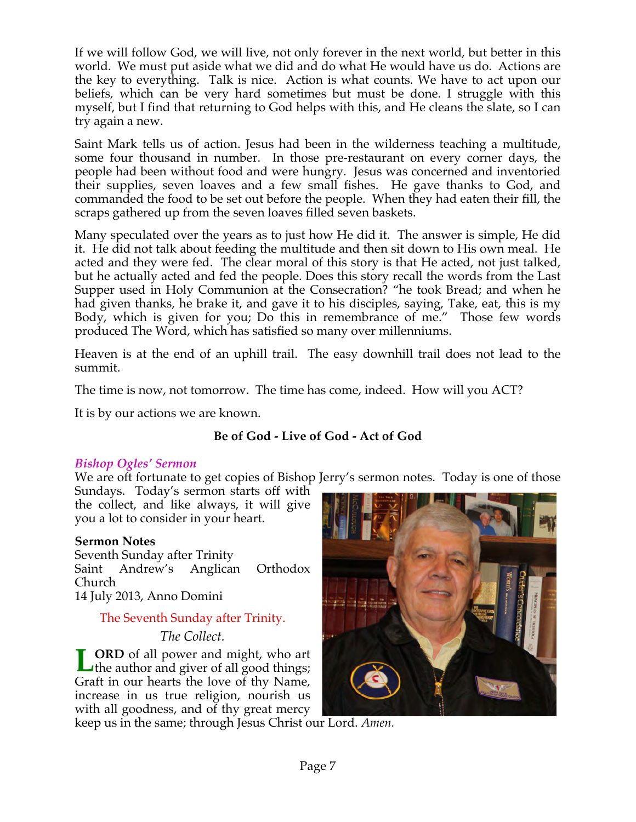If we will follow God, we will live, not only forever in the next world, but better in this world. We must put aside what we did and do what He would have us do. Actions are the key to everything. Talk is nice. Action is what counts. We have to act upon our beliefs, which can be very hard sometimes but must be done. I struggle with this myself, but I find that returning to God helps with this, and He cleans the slate, so I can try again a new.

Saint Mark tells us of action. Jesus had been in the wilderness teaching a multitude, some four thousand in number. In those pre-restaurant on every corner days, the people had been without food and were hungry. Jesus was concerned and inventoried their supplies, seven loaves and a few small fishes. He gave thanks to God, and commanded the food to be set out before the people. When they had eaten their fill, the scraps gathered up from the seven loaves filled seven baskets.

Many speculated over the years as to just how He did it. The answer is simple, He did it. He did not talk about feeding the multitude and then sit down to His own meal. He acted and they were fed. The clear moral of this story is that He acted, not just talked, but he actually acted and fed the people. Does this story recall the words from the Last Supper used in Holy Communion at the Consecration? "he took Bread; and when he had given thanks, he brake it, and gave it to his disciples, saying, Take, eat, this is my Body, which is given for you; Do this in remembrance of me." Those few words produced The Word, which has satisfied so many over millenniums.

Heaven is at the end of an uphill trail. The easy downhill trail does not lead to the summit.

The time is now, not tomorrow. The time has come, indeed. How will you ACT?

It is by our actions we are known.

# **Be of God - Live of God - Act of God**

## *Bishop Ogles' Sermon*

We are oft fortunate to get copies of Bishop Jerry's sermon notes. Today is one of those Sundays. Today's sermon starts off with

the collect, and like always, it will give you a lot to consider in your heart.

### **Sermon Notes**

Seventh Sunday after Trinity Saint Andrew's Anglican Orthodox Church 14 July 2013, Anno Domini

## The Seventh Sunday after Trinity.

# *The Collect.*

**ORD** of all power and might, who art the author and giver of all good things; Graft in our hearts the love of thy Name, increase in us true religion, nourish us with all goodness, and of thy great mercy **L**

keep us in the same; through Jesus Christ our Lord. *Amen.*

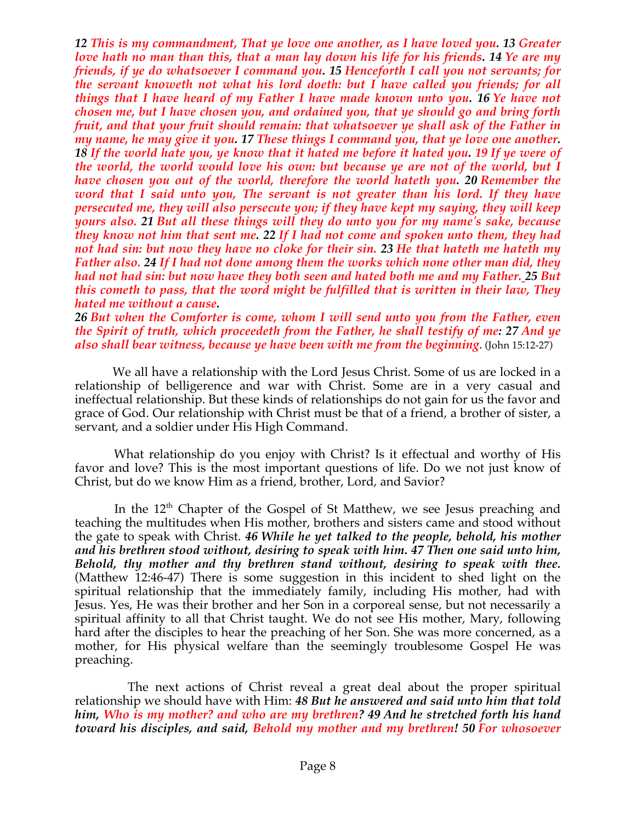*12 This is my commandment, That ye love one another, as I have loved you. 13 Greater love hath no man than this, that a man lay down his life for his friends. 14 Ye are my friends, if ye do whatsoever I command you. 15 Henceforth I call you not servants; for the servant knoweth not what his lord doeth: but I have called you friends; for all things that I have heard of my Father I have made known unto you. 16 Ye have not chosen me, but I have chosen you, and ordained you, that ye should go and bring forth fruit, and that your fruit should remain: that whatsoever ye shall ask of the Father in my name, he may give it you. 17 These things I command you, that ye love one another. 18 If the world hate you, ye know that it hated me before it hated you. 19 If ye were of the world, the world would love his own: but because ye are not of the world, but I have chosen you out of the world, therefore the world hateth you. 20 Remember the word that I said unto you, The servant is not greater than his lord. If they have persecuted me, they will also persecute you; if they have kept my saying, they will keep yours also. 21 But all these things will they do unto you for my name's sake, because they know not him that sent me. 22 If I had not come and spoken unto them, they had not had sin: but now they have no cloke for their sin. 23 He that hateth me hateth my Father also. 24 If I had not done among them the works which none other man did, they had not had sin: but now have they both seen and hated both me and my Father. 25 But this cometh to pass, that the word might be fulfilled that is written in their law, They hated me without a cause.*

*26 But when the Comforter is come, whom I will send unto you from the Father, even the Spirit of truth, which proceedeth from the Father, he shall testify of me: 27 And ye also shall bear witness, because ye have been with me from the beginning*. (John 15:12-27)

 We all have a relationship with the Lord Jesus Christ. Some of us are locked in a relationship of belligerence and war with Christ. Some are in a very casual and ineffectual relationship. But these kinds of relationships do not gain for us the favor and grace of God. Our relationship with Christ must be that of a friend, a brother of sister, a servant, and a soldier under His High Command.

 What relationship do you enjoy with Christ? Is it effectual and worthy of His favor and love? This is the most important questions of life. Do we not just know of Christ, but do we know Him as a friend, brother, Lord, and Savior?

In the 12<sup>th</sup> Chapter of the Gospel of St Matthew, we see Jesus preaching and teaching the multitudes when His mother, brothers and sisters came and stood without the gate to speak with Christ. *46 While he yet talked to the people, behold, his mother and his brethren stood without, desiring to speak with him. 47 Then one said unto him, Behold, thy mother and thy brethren stand without, desiring to speak with thee.*  (Matthew 12:46-47) There is some suggestion in this incident to shed light on the spiritual relationship that the immediately family, including His mother, had with Jesus. Yes, He was their brother and her Son in a corporeal sense, but not necessarily a spiritual affinity to all that Christ taught. We do not see His mother, Mary, following hard after the disciples to hear the preaching of her Son. She was more concerned, as a mother, for His physical welfare than the seemingly troublesome Gospel He was preaching.

The next actions of Christ reveal a great deal about the proper spiritual relationship we should have with Him: *48 But he answered and said unto him that told him, Who is my mother? and who are my brethren? 49 And he stretched forth his hand toward his disciples, and said, Behold my mother and my brethren! 50 For whosoever*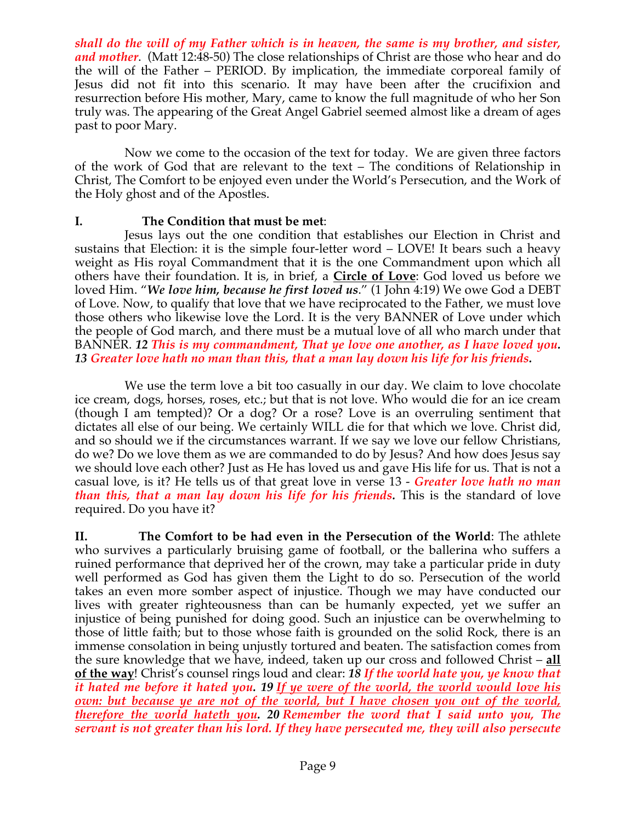*shall do the will of my Father which is in heaven, the same is my brother, and sister, and mother*. (Matt 12:48-50) The close relationships of Christ are those who hear and do the will of the Father – PERIOD. By implication, the immediate corporeal family of Jesus did not fit into this scenario. It may have been after the crucifixion and resurrection before His mother, Mary, came to know the full magnitude of who her Son truly was. The appearing of the Great Angel Gabriel seemed almost like a dream of ages past to poor Mary.

Now we come to the occasion of the text for today. We are given three factors of the work of God that are relevant to the text – The conditions of Relationship in Christ, The Comfort to be enjoyed even under the World's Persecution, and the Work of the Holy ghost and of the Apostles.

### **I. The Condition that must be met**:

Jesus lays out the one condition that establishes our Election in Christ and sustains that Election: it is the simple four-letter word – LOVE! It bears such a heavy weight as His royal Commandment that it is the one Commandment upon which all others have their foundation. It is, in brief, a **Circle of Love**: God loved us before we loved Him. "*We love him, because he first loved us*." (1 John 4:19) We owe God a DEBT of Love. Now, to qualify that love that we have reciprocated to the Father, we must love those others who likewise love the Lord. It is the very BANNER of Love under which the people of God march, and there must be a mutual love of all who march under that BANNER. *12 This is my commandment, That ye love one another, as I have loved you. 13 Greater love hath no man than this, that a man lay down his life for his friends.*

We use the term love a bit too casually in our day. We claim to love chocolate ice cream, dogs, horses, roses, etc.; but that is not love. Who would die for an ice cream (though I am tempted)? Or a dog? Or a rose? Love is an overruling sentiment that dictates all else of our being. We certainly WILL die for that which we love. Christ did, and so should we if the circumstances warrant. If we say we love our fellow Christians, do we? Do we love them as we are commanded to do by Jesus? And how does Jesus say we should love each other? Just as He has loved us and gave His life for us. That is not a casual love, is it? He tells us of that great love in verse 13 - *Greater love hath no man than this, that a man lay down his life for his friends.* This is the standard of love required. Do you have it?

**II. The Comfort to be had even in the Persecution of the World**: The athlete who survives a particularly bruising game of football, or the ballerina who suffers a ruined performance that deprived her of the crown, may take a particular pride in duty well performed as God has given them the Light to do so. Persecution of the world takes an even more somber aspect of injustice. Though we may have conducted our lives with greater righteousness than can be humanly expected, yet we suffer an injustice of being punished for doing good. Such an injustice can be overwhelming to those of little faith; but to those whose faith is grounded on the solid Rock, there is an immense consolation in being unjustly tortured and beaten. The satisfaction comes from the sure knowledge that we have, indeed, taken up our cross and followed Christ – **all of the way**! Christ's counsel rings loud and clear: *18 If the world hate you, ye know that it hated me before it hated you. 19 If ye were of the world, the world would love his own: but because ye are not of the world, but I have chosen you out of the world, therefore the world hateth you. 20 Remember the word that I said unto you, The servant is not greater than his lord. If they have persecuted me, they will also persecute*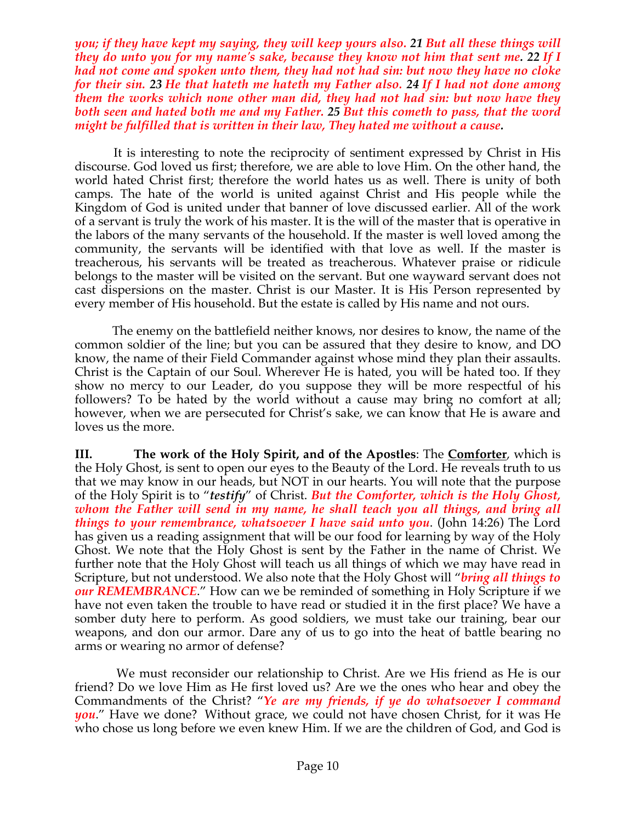*you; if they have kept my saying, they will keep yours also. 21 But all these things will they do unto you for my name's sake, because they know not him that sent me. 22 If I had not come and spoken unto them, they had not had sin: but now they have no cloke for their sin. 23 He that hateth me hateth my Father also. 24 If I had not done among them the works which none other man did, they had not had sin: but now have they both seen and hated both me and my Father. 25 But this cometh to pass, that the word might be fulfilled that is written in their law, They hated me without a cause.*

 It is interesting to note the reciprocity of sentiment expressed by Christ in His discourse. God loved us first; therefore, we are able to love Him. On the other hand, the world hated Christ first; therefore the world hates us as well. There is unity of both camps. The hate of the world is united against Christ and His people while the Kingdom of God is united under that banner of love discussed earlier. All of the work of a servant is truly the work of his master. It is the will of the master that is operative in the labors of the many servants of the household. If the master is well loved among the community, the servants will be identified with that love as well. If the master is treacherous, his servants will be treated as treacherous. Whatever praise or ridicule belongs to the master will be visited on the servant. But one wayward servant does not cast dispersions on the master. Christ is our Master. It is His Person represented by every member of His household. But the estate is called by His name and not ours.

 The enemy on the battlefield neither knows, nor desires to know, the name of the common soldier of the line; but you can be assured that they desire to know, and DO know, the name of their Field Commander against whose mind they plan their assaults. Christ is the Captain of our Soul. Wherever He is hated, you will be hated too. If they show no mercy to our Leader, do you suppose they will be more respectful of his followers? To be hated by the world without a cause may bring no comfort at all; however, when we are persecuted for Christ's sake, we can know that He is aware and loves us the more.

**III. The work of the Holy Spirit, and of the Apostles**: The **Comforter**, which is the Holy Ghost, is sent to open our eyes to the Beauty of the Lord. He reveals truth to us that we may know in our heads, but NOT in our hearts. You will note that the purpose of the Holy Spirit is to "*testify*" of Christ. *But the Comforter, which is the Holy Ghost, whom the Father will send in my name, he shall teach you all things, and bring all things to your remembrance, whatsoever I have said unto you*. (John 14:26) The Lord has given us a reading assignment that will be our food for learning by way of the Holy Ghost. We note that the Holy Ghost is sent by the Father in the name of Christ. We further note that the Holy Ghost will teach us all things of which we may have read in Scripture, but not understood. We also note that the Holy Ghost will "*bring all things to our REMEMBRANCE*." How can we be reminded of something in Holy Scripture if we have not even taken the trouble to have read or studied it in the first place? We have a somber duty here to perform. As good soldiers, we must take our training, bear our weapons, and don our armor. Dare any of us to go into the heat of battle bearing no arms or wearing no armor of defense?

 We must reconsider our relationship to Christ. Are we His friend as He is our friend? Do we love Him as He first loved us? Are we the ones who hear and obey the Commandments of the Christ? "*Ye are my friends, if ye do whatsoever I command you*." Have we done? Without grace, we could not have chosen Christ, for it was He who chose us long before we even knew Him. If we are the children of God, and God is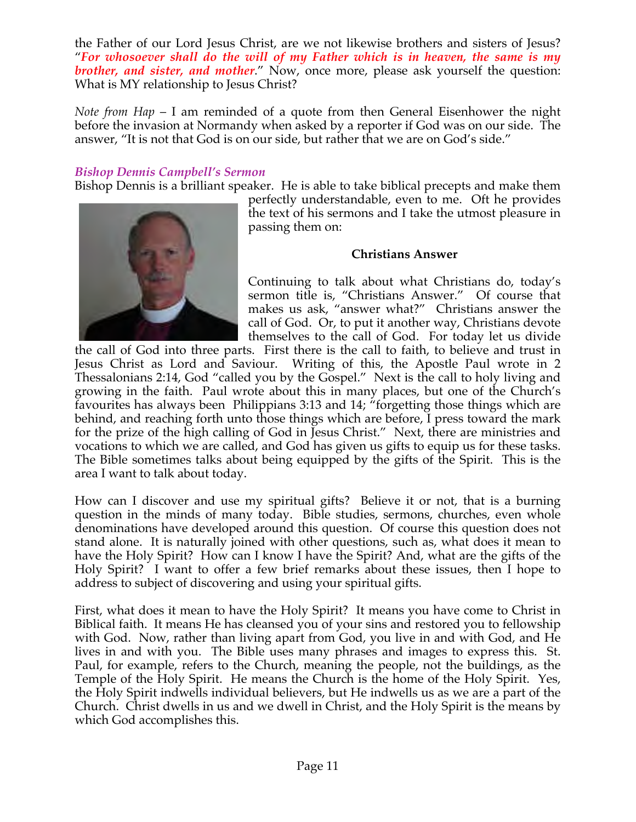the Father of our Lord Jesus Christ, are we not likewise brothers and sisters of Jesus? "*For whosoever shall do the will of my Father which is in heaven, the same is my brother, and sister, and mother.*" Now, once more, please ask yourself the question: What is MY relationship to Jesus Christ?

*Note from Hap* – I am reminded of a quote from then General Eisenhower the night before the invasion at Normandy when asked by a reporter if God was on our side. The answer, "It is not that God is on our side, but rather that we are on God's side."

### *Bishop Dennis Campbell's Sermon*

Bishop Dennis is a brilliant speaker. He is able to take biblical precepts and make them



perfectly understandable, even to me. Oft he provides the text of his sermons and I take the utmost pleasure in passing them on:

### **Christians Answer**

Continuing to talk about what Christians do, today's sermon title is, "Christians Answer." Of course that makes us ask, "answer what?" Christians answer the call of God. Or, to put it another way, Christians devote themselves to the call of God. For today let us divide

the call of God into three parts. First there is the call to faith, to believe and trust in Jesus Christ as Lord and Saviour. Writing of this, the Apostle Paul wrote in 2 Thessalonians 2:14, God "called you by the Gospel." Next is the call to holy living and growing in the faith. Paul wrote about this in many places, but one of the Church's favourites has always been Philippians 3:13 and 14; "forgetting those things which are behind, and reaching forth unto those things which are before, I press toward the mark for the prize of the high calling of God in Jesus Christ." Next, there are ministries and vocations to which we are called, and God has given us gifts to equip us for these tasks. The Bible sometimes talks about being equipped by the gifts of the Spirit. This is the area I want to talk about today.

How can I discover and use my spiritual gifts? Believe it or not, that is a burning question in the minds of many today. Bible studies, sermons, churches, even whole denominations have developed around this question. Of course this question does not stand alone. It is naturally joined with other questions, such as, what does it mean to have the Holy Spirit? How can I know I have the Spirit? And, what are the gifts of the Holy Spirit? I want to offer a few brief remarks about these issues, then I hope to address to subject of discovering and using your spiritual gifts.

First, what does it mean to have the Holy Spirit? It means you have come to Christ in Biblical faith. It means He has cleansed you of your sins and restored you to fellowship with God. Now, rather than living apart from God, you live in and with God, and He lives in and with you. The Bible uses many phrases and images to express this. St. Paul, for example, refers to the Church, meaning the people, not the buildings, as the Temple of the Holy Spirit. He means the Church is the home of the Holy Spirit. Yes, the Holy Spirit indwells individual believers, but He indwells us as we are a part of the Church. Christ dwells in us and we dwell in Christ, and the Holy Spirit is the means by which God accomplishes this.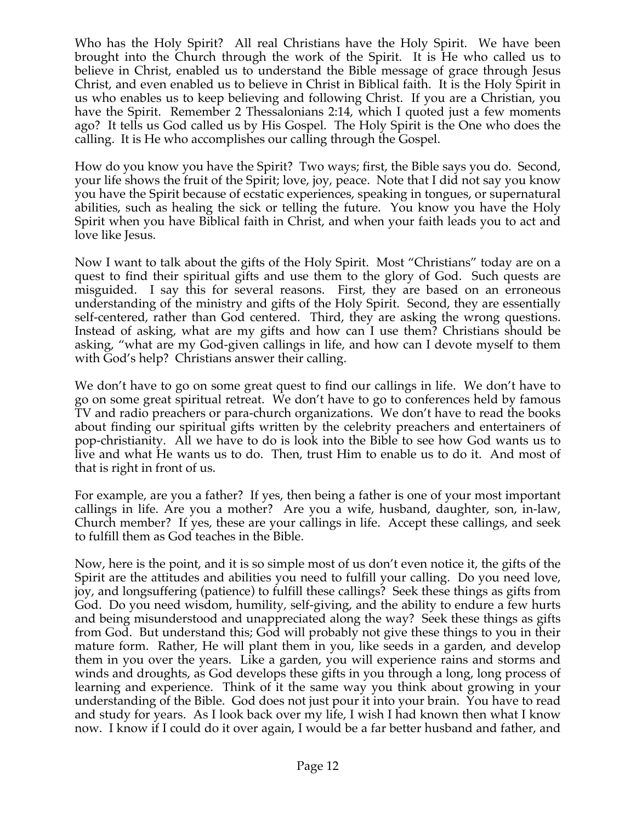Who has the Holy Spirit? All real Christians have the Holy Spirit. We have been brought into the Church through the work of the Spirit. It is He who called us to believe in Christ, enabled us to understand the Bible message of grace through Jesus Christ, and even enabled us to believe in Christ in Biblical faith. It is the Holy Spirit in us who enables us to keep believing and following Christ. If you are a Christian, you have the Spirit. Remember 2 Thessalonians 2:14, which I quoted just a few moments ago? It tells us God called us by His Gospel. The Holy Spirit is the One who does the calling. It is He who accomplishes our calling through the Gospel.

How do you know you have the Spirit? Two ways; first, the Bible says you do. Second, your life shows the fruit of the Spirit; love, joy, peace. Note that I did not say you know you have the Spirit because of ecstatic experiences, speaking in tongues, or supernatural abilities, such as healing the sick or telling the future. You know you have the Holy Spirit when you have Biblical faith in Christ, and when your faith leads you to act and love like Jesus.

Now I want to talk about the gifts of the Holy Spirit. Most "Christians" today are on a quest to find their spiritual gifts and use them to the glory of God. Such quests are misguided. I say this for several reasons. First, they are based on an erroneous understanding of the ministry and gifts of the Holy Spirit. Second, they are essentially self-centered, rather than God centered. Third, they are asking the wrong questions. Instead of asking, what are my gifts and how can I use them? Christians should be asking, "what are my God-given callings in life, and how can I devote myself to them with God's help? Christians answer their calling.

We don't have to go on some great quest to find our callings in life. We don't have to go on some great spiritual retreat. We don't have to go to conferences held by famous TV and radio preachers or para-church organizations. We don't have to read the books about finding our spiritual gifts written by the celebrity preachers and entertainers of pop-christianity. All we have to do is look into the Bible to see how God wants us to live and what He wants us to do. Then, trust Him to enable us to do it. And most of that is right in front of us.

For example, are you a father? If yes, then being a father is one of your most important callings in life. Are you a mother? Are you a wife, husband, daughter, son, in-law, Church member? If yes, these are your callings in life. Accept these callings, and seek to fulfill them as God teaches in the Bible.

Now, here is the point, and it is so simple most of us don't even notice it, the gifts of the Spirit are the attitudes and abilities you need to fulfill your calling. Do you need love, joy, and longsuffering (patience) to fulfill these callings? Seek these things as gifts from God. Do you need wisdom, humility, self-giving, and the ability to endure a few hurts and being misunderstood and unappreciated along the way? Seek these things as gifts from God. But understand this; God will probably not give these things to you in their mature form. Rather, He will plant them in you, like seeds in a garden, and develop them in you over the years. Like a garden, you will experience rains and storms and winds and droughts, as God develops these gifts in you through a long, long process of learning and experience. Think of it the same way you think about growing in your understanding of the Bible. God does not just pour it into your brain. You have to read and study for years. As I look back over my life, I wish I had known then what I know now. I know if I could do it over again, I would be a far better husband and father, and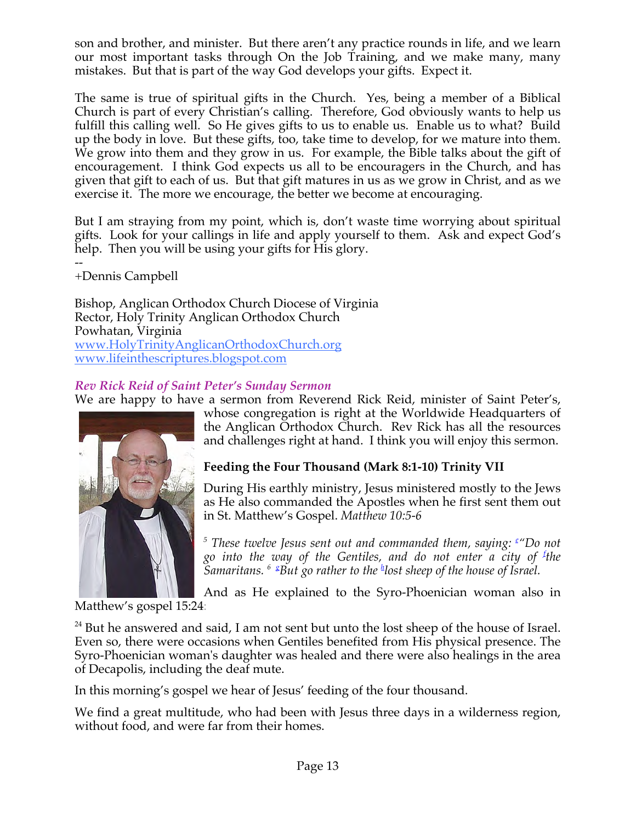son and brother, and minister. But there aren't any practice rounds in life, and we learn our most important tasks through On the Job Training, and we make many, many mistakes. But that is part of the way God develops your gifts. Expect it.

The same is true of spiritual gifts in the Church. Yes, being a member of a Biblical Church is part of every Christian's calling. Therefore, God obviously wants to help us fulfill this calling well. So He gives gifts to us to enable us. Enable us to what? Build up the body in love. But these gifts, too, take time to develop, for we mature into them. We grow into them and they grow in us. For example, the Bible talks about the gift of encouragement. I think God expects us all to be encouragers in the Church, and has given that gift to each of us. But that gift matures in us as we grow in Christ, and as we exercise it. The more we encourage, the better we become at encouraging.

But I am straying from my point, which is, don't waste time worrying about spiritual gifts. Look for your callings in life and apply yourself to them. Ask and expect God's help. Then you will be using your gifts for His glory.

-- +Dennis Campbell

Bishop, Anglican Orthodox Church Diocese of Virginia Rector, Holy Trinity Anglican Orthodox Church Powhatan, Virginia www.HolyTrinityAnglicanOrthodoxChurch.org www.lifeinthescriptures.blogspot.com

## *Rev Rick Reid of Saint Peter's Sunday Sermon*

We are happy to have a sermon from Reverend Rick Reid, minister of Saint Peter's,



whose congregation is right at the Worldwide Headquarters of the Anglican Orthodox Church. Rev Rick has all the resources and challenges right at hand. I think you will enjoy this sermon.

# **Feeding the Four Thousand (Mark 8:1-10) Trinity VII**

During His earthly ministry, Jesus ministered mostly to the Jews as He also commanded the Apostles when he first sent them out in St. Matthew's Gospel. *Matthew 10:5-6*

*5 These twelve Jesus sent out and commanded them, saying: <sup>e</sup> "Do not go into the way of the Gentiles, and do not enter a city of <sup>f</sup> the Samaritans. 6 g But go rather to the <sup>h</sup> lost sheep of the house of Israel.*

And as He explained to the Syro-Phoenician woman also in

Matthew's gospel 15:24:

 $24$  But he answered and said, I am not sent but unto the lost sheep of the house of Israel. Even so, there were occasions when Gentiles benefited from His physical presence. The Syro-Phoenician woman's daughter was healed and there were also healings in the area of Decapolis, including the deaf mute.

In this morning's gospel we hear of Jesus' feeding of the four thousand.

We find a great multitude, who had been with Jesus three days in a wilderness region, without food, and were far from their homes.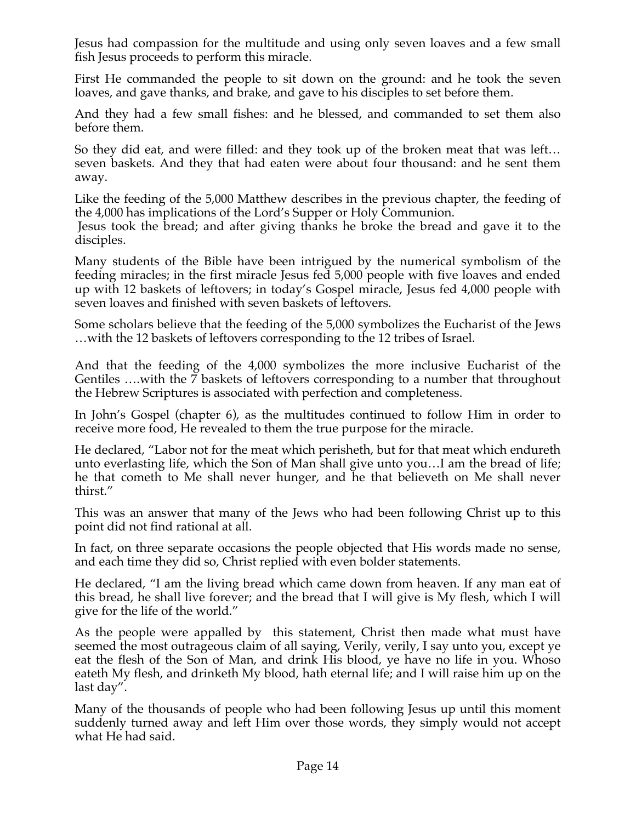Jesus had compassion for the multitude and using only seven loaves and a few small fish Jesus proceeds to perform this miracle.

First He commanded the people to sit down on the ground: and he took the seven loaves, and gave thanks, and brake, and gave to his disciples to set before them.

And they had a few small fishes: and he blessed, and commanded to set them also before them.

So they did eat, and were filled: and they took up of the broken meat that was left… seven baskets. And they that had eaten were about four thousand: and he sent them away.

Like the feeding of the 5,000 Matthew describes in the previous chapter, the feeding of the 4,000 has implications of the Lord's Supper or Holy Communion.

 Jesus took the bread; and after giving thanks he broke the bread and gave it to the disciples.

Many students of the Bible have been intrigued by the numerical symbolism of the feeding miracles; in the first miracle Jesus fed 5,000 people with five loaves and ended up with 12 baskets of leftovers; in today's Gospel miracle, Jesus fed 4,000 people with seven loaves and finished with seven baskets of leftovers.

Some scholars believe that the feeding of the 5,000 symbolizes the Eucharist of the Jews …with the 12 baskets of leftovers corresponding to the 12 tribes of Israel.

And that the feeding of the 4,000 symbolizes the more inclusive Eucharist of the Gentiles ….with the 7 baskets of leftovers corresponding to a number that throughout the Hebrew Scriptures is associated with perfection and completeness.

In John's Gospel (chapter 6), as the multitudes continued to follow Him in order to receive more food, He revealed to them the true purpose for the miracle.

He declared, "Labor not for the meat which perisheth, but for that meat which endureth unto everlasting life, which the Son of Man shall give unto you…I am the bread of life; he that cometh to Me shall never hunger, and he that believeth on Me shall never thirst."

This was an answer that many of the Jews who had been following Christ up to this point did not find rational at all.

In fact, on three separate occasions the people objected that His words made no sense, and each time they did so, Christ replied with even bolder statements.

He declared, "I am the living bread which came down from heaven. If any man eat of this bread, he shall live forever; and the bread that I will give is My flesh, which I will give for the life of the world."

As the people were appalled by this statement, Christ then made what must have seemed the most outrageous claim of all saying, Verily, verily, I say unto you, except ye eat the flesh of the Son of Man, and drink His blood, ye have no life in you. Whoso eateth My flesh, and drinketh My blood, hath eternal life; and I will raise him up on the last day".

Many of the thousands of people who had been following Jesus up until this moment suddenly turned away and left Him over those words, they simply would not accept what He had said.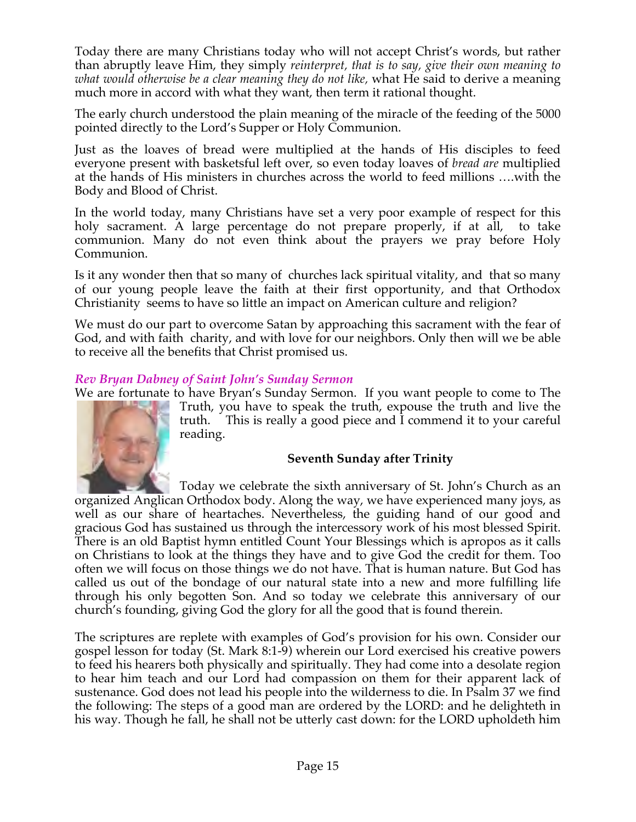Today there are many Christians today who will not accept Christ's words, but rather than abruptly leave Him, they simply *reinterpret, that is to say, give their own meaning to what would otherwise be a clear meaning they do not like,* what He said to derive a meaning much more in accord with what they want, then term it rational thought.

The early church understood the plain meaning of the miracle of the feeding of the 5000 pointed directly to the Lord's Supper or Holy Communion.

Just as the loaves of bread were multiplied at the hands of His disciples to feed everyone present with basketsful left over, so even today loaves of *bread are* multiplied at the hands of His ministers in churches across the world to feed millions ….with the Body and Blood of Christ.

In the world today, many Christians have set a very poor example of respect for this holy sacrament. A large percentage do not prepare properly, if at all, to take communion. Many do not even think about the prayers we pray before Holy Communion.

Is it any wonder then that so many of churches lack spiritual vitality, and that so many of our young people leave the faith at their first opportunity, and that Orthodox Christianity seems to have so little an impact on American culture and religion?

We must do our part to overcome Satan by approaching this sacrament with the fear of God, and with faith charity, and with love for our neighbors. Only then will we be able to receive all the benefits that Christ promised us.

## *Rev Bryan Dabney of Saint John's Sunday Sermon*

We are fortunate to have Bryan's Sunday Sermon. If you want people to come to The



Truth, you have to speak the truth, expouse the truth and live the truth. This is really a good piece and I commend it to your careful reading.

## **Seventh Sunday after Trinity**

Today we celebrate the sixth anniversary of St. John's Church as an organized Anglican Orthodox body. Along the way, we have experienced many joys, as well as our share of heartaches. Nevertheless, the guiding hand of our good and gracious God has sustained us through the intercessory work of his most blessed Spirit. There is an old Baptist hymn entitled Count Your Blessings which is apropos as it calls on Christians to look at the things they have and to give God the credit for them. Too often we will focus on those things we do not have. That is human nature. But God has called us out of the bondage of our natural state into a new and more fulfilling life through his only begotten Son. And so today we celebrate this anniversary of our church's founding, giving God the glory for all the good that is found therein.

The scriptures are replete with examples of God's provision for his own. Consider our gospel lesson for today (St. Mark 8:1-9) wherein our Lord exercised his creative powers to feed his hearers both physically and spiritually. They had come into a desolate region to hear him teach and our Lord had compassion on them for their apparent lack of sustenance. God does not lead his people into the wilderness to die. In Psalm 37 we find the following: The steps of a good man are ordered by the LORD: and he delighteth in his way. Though he fall, he shall not be utterly cast down: for the LORD upholdeth him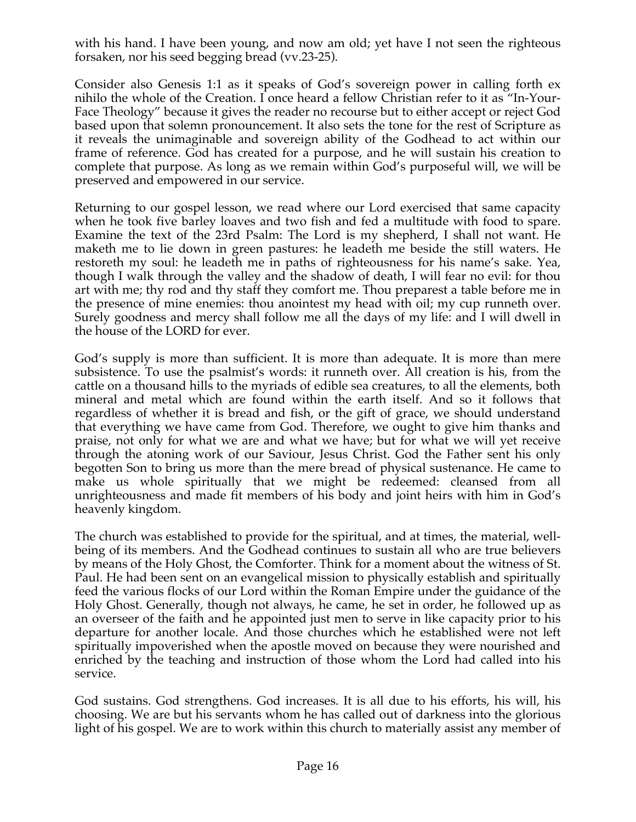with his hand. I have been young, and now am old; yet have I not seen the righteous forsaken, nor his seed begging bread (vv.23-25).

Consider also Genesis 1:1 as it speaks of God's sovereign power in calling forth ex nihilo the whole of the Creation. I once heard a fellow Christian refer to it as "In-Your-Face Theology" because it gives the reader no recourse but to either accept or reject God based upon that solemn pronouncement. It also sets the tone for the rest of Scripture as it reveals the unimaginable and sovereign ability of the Godhead to act within our frame of reference. God has created for a purpose, and he will sustain his creation to complete that purpose. As long as we remain within God's purposeful will, we will be preserved and empowered in our service.

Returning to our gospel lesson, we read where our Lord exercised that same capacity when he took five barley loaves and two fish and fed a multitude with food to spare. Examine the text of the 23rd Psalm: The Lord is my shepherd, I shall not want. He maketh me to lie down in green pastures: he leadeth me beside the still waters. He restoreth my soul: he leadeth me in paths of righteousness for his name's sake. Yea, though I walk through the valley and the shadow of death, I will fear no evil: for thou art with me; thy rod and thy staff they comfort me. Thou preparest a table before me in the presence of mine enemies: thou anointest my head with oil; my cup runneth over. Surely goodness and mercy shall follow me all the days of my life: and I will dwell in the house of the LORD for ever.

God's supply is more than sufficient. It is more than adequate. It is more than mere subsistence. To use the psalmist's words: it runneth over. All creation is his, from the cattle on a thousand hills to the myriads of edible sea creatures, to all the elements, both mineral and metal which are found within the earth itself. And so it follows that regardless of whether it is bread and fish, or the gift of grace, we should understand that everything we have came from God. Therefore, we ought to give him thanks and praise, not only for what we are and what we have; but for what we will yet receive through the atoning work of our Saviour, Jesus Christ. God the Father sent his only begotten Son to bring us more than the mere bread of physical sustenance. He came to make us whole spiritually that we might be redeemed: cleansed from all unrighteousness and made fit members of his body and joint heirs with him in God's heavenly kingdom.

The church was established to provide for the spiritual, and at times, the material, wellbeing of its members. And the Godhead continues to sustain all who are true believers by means of the Holy Ghost, the Comforter. Think for a moment about the witness of St. Paul. He had been sent on an evangelical mission to physically establish and spiritually feed the various flocks of our Lord within the Roman Empire under the guidance of the Holy Ghost. Generally, though not always, he came, he set in order, he followed up as an overseer of the faith and he appointed just men to serve in like capacity prior to his departure for another locale. And those churches which he established were not left spiritually impoverished when the apostle moved on because they were nourished and enriched by the teaching and instruction of those whom the Lord had called into his service.

God sustains. God strengthens. God increases. It is all due to his efforts, his will, his choosing. We are but his servants whom he has called out of darkness into the glorious light of his gospel. We are to work within this church to materially assist any member of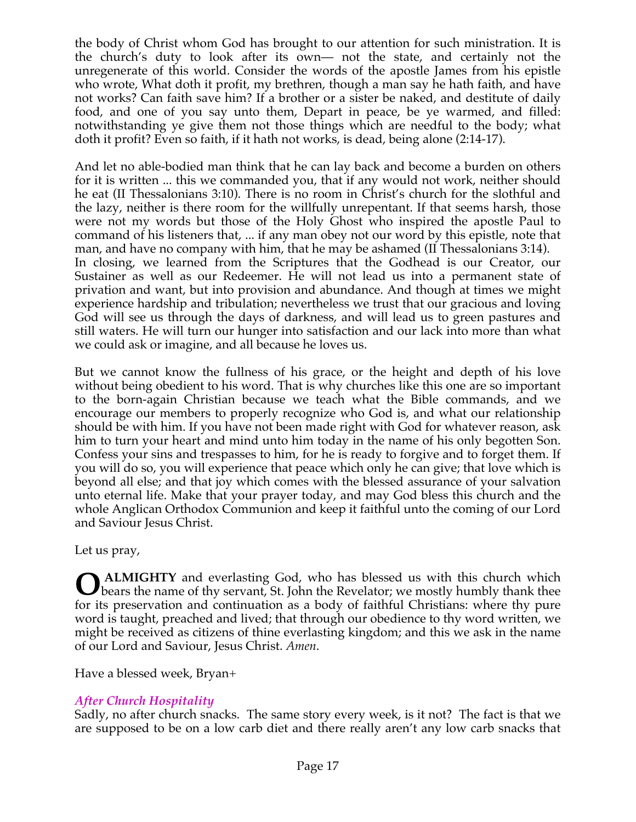the body of Christ whom God has brought to our attention for such ministration. It is the church's duty to look after its own— not the state, and certainly not the unregenerate of this world. Consider the words of the apostle James from his epistle who wrote, What doth it profit, my brethren, though a man say he hath faith, and have not works? Can faith save him? If a brother or a sister be naked, and destitute of daily food, and one of you say unto them, Depart in peace, be ye warmed, and filled: notwithstanding ye give them not those things which are needful to the body; what doth it profit? Even so faith, if it hath not works, is dead, being alone (2:14-17).

And let no able-bodied man think that he can lay back and become a burden on others for it is written ... this we commanded you, that if any would not work, neither should he eat (II Thessalonians 3:10). There is no room in Christ's church for the slothful and the lazy, neither is there room for the willfully unrepentant. If that seems harsh, those were not my words but those of the Holy Ghost who inspired the apostle Paul to command of his listeners that, ... if any man obey not our word by this epistle, note that man, and have no company with him, that he may be ashamed (II Thessalonians 3:14). In closing, we learned from the Scriptures that the Godhead is our Creator, our Sustainer as well as our Redeemer. He will not lead us into a permanent state of privation and want, but into provision and abundance. And though at times we might experience hardship and tribulation; nevertheless we trust that our gracious and loving God will see us through the days of darkness, and will lead us to green pastures and still waters. He will turn our hunger into satisfaction and our lack into more than what we could ask or imagine, and all because he loves us.

But we cannot know the fullness of his grace, or the height and depth of his love without being obedient to his word. That is why churches like this one are so important to the born-again Christian because we teach what the Bible commands, and we encourage our members to properly recognize who God is, and what our relationship should be with him. If you have not been made right with God for whatever reason, ask him to turn your heart and mind unto him today in the name of his only begotten Son. Confess your sins and trespasses to him, for he is ready to forgive and to forget them. If you will do so, you will experience that peace which only he can give; that love which is beyond all else; and that joy which comes with the blessed assurance of your salvation unto eternal life. Make that your prayer today, and may God bless this church and the whole Anglican Orthodox Communion and keep it faithful unto the coming of our Lord and Saviour Jesus Christ.

Let us pray,

**ALMIGHTY** and everlasting God, who has blessed us with this church which because the name of thy servant, St. John the Revelator; we mostly humbly thank thee **J** bears the name of thy servant, St. John the Revelator; we mostly humbly thank thee for its preservation and continuation as a body of faithful Christians: where thy pure word is taught, preached and lived; that through our obedience to thy word written, we might be received as citizens of thine everlasting kingdom; and this we ask in the name of our Lord and Saviour, Jesus Christ. *Amen*.

Have a blessed week, Bryan+

# *After Church Hospitality*

Sadly, no after church snacks. The same story every week, is it not? The fact is that we are supposed to be on a low carb diet and there really aren't any low carb snacks that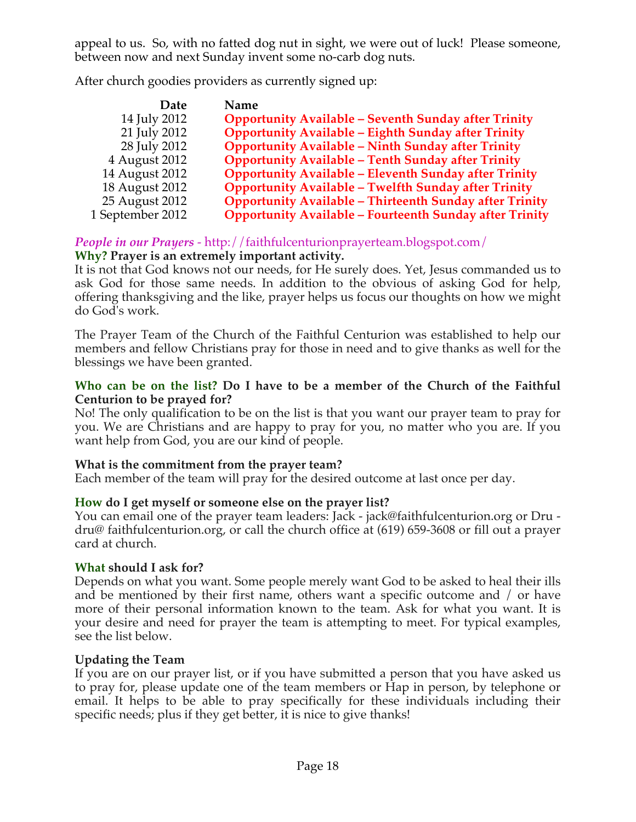appeal to us. So, with no fatted dog nut in sight, we were out of luck! Please someone, between now and next Sunday invent some no-carb dog nuts.

After church goodies providers as currently signed up:

| Date             | Name                                                           |
|------------------|----------------------------------------------------------------|
| 14 July 2012     | <b>Opportunity Available - Seventh Sunday after Trinity</b>    |
| 21 July 2012     | <b>Opportunity Available - Eighth Sunday after Trinity</b>     |
| 28 July 2012     | <b>Opportunity Available - Ninth Sunday after Trinity</b>      |
| 4 August 2012    | <b>Opportunity Available - Tenth Sunday after Trinity</b>      |
| 14 August 2012   | <b>Opportunity Available - Eleventh Sunday after Trinity</b>   |
| 18 August 2012   | <b>Opportunity Available - Twelfth Sunday after Trinity</b>    |
| 25 August 2012   | <b>Opportunity Available - Thirteenth Sunday after Trinity</b> |
| 1 September 2012 | <b>Opportunity Available - Fourteenth Sunday after Trinity</b> |

*People in our Prayers* - http://faithfulcenturionprayerteam.blogspot.com/ **Why? Prayer is an extremely important activity.**

It is not that God knows not our needs, for He surely does. Yet, Jesus commanded us to ask God for those same needs. In addition to the obvious of asking God for help, offering thanksgiving and the like, prayer helps us focus our thoughts on how we might do God's work.

The Prayer Team of the Church of the Faithful Centurion was established to help our members and fellow Christians pray for those in need and to give thanks as well for the blessings we have been granted.

### **Who can be on the list? Do I have to be a member of the Church of the Faithful Centurion to be prayed for?**

No! The only qualification to be on the list is that you want our prayer team to pray for you. We are Christians and are happy to pray for you, no matter who you are. If you want help from God, you are our kind of people.

## **What is the commitment from the prayer team?**

Each member of the team will pray for the desired outcome at last once per day.

### **How do I get myself or someone else on the prayer list?**

You can email one of the prayer team leaders: Jack - jack@faithfulcenturion.org or Dru dru@ faithfulcenturion.org, or call the church office at (619) 659-3608 or fill out a prayer card at church.

### **What should I ask for?**

Depends on what you want. Some people merely want God to be asked to heal their ills and be mentioned by their first name, others want a specific outcome and / or have more of their personal information known to the team. Ask for what you want. It is your desire and need for prayer the team is attempting to meet. For typical examples, see the list below.

### **Updating the Team**

If you are on our prayer list, or if you have submitted a person that you have asked us to pray for, please update one of the team members or Hap in person, by telephone or email. It helps to be able to pray specifically for these individuals including their specific needs; plus if they get better, it is nice to give thanks!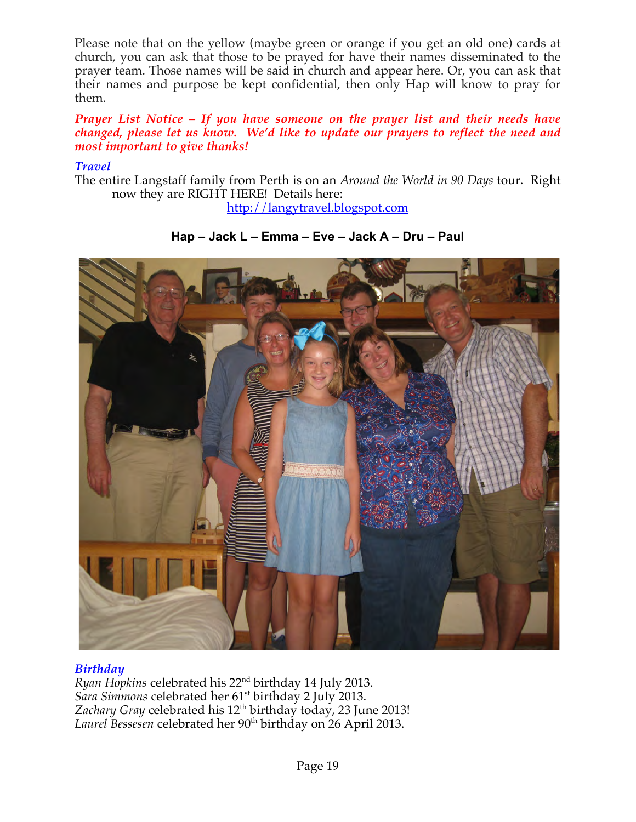Please note that on the yellow (maybe green or orange if you get an old one) cards at church, you can ask that those to be prayed for have their names disseminated to the prayer team. Those names will be said in church and appear here. Or, you can ask that their names and purpose be kept confidential, then only Hap will know to pray for them.

### *Prayer List Notice – If you have someone on the prayer list and their needs have changed, please let us know. We'd like to update our prayers to reflect the need and most important to give thanks!*

### *Travel*

The entire Langstaff family from Perth is on an *Around the World in 90 Days* tour. Right now they are RIGHT HERE! Details here:

http://langytravel.blogspot.com



# **Hap – Jack L – Emma – Eve – Jack A – Dru – Paul**

## *Birthday*

*Ryan Hopkins* celebrated his 22nd birthday 14 July 2013. Sara Simmons celebrated her 61<sup>st</sup> birthday 2 July 2013. Zachary Gray celebrated his 12<sup>th</sup> birthday today, 23 June 2013! Laurel Bessesen celebrated her 90<sup>th</sup> birthday on 26 April 2013.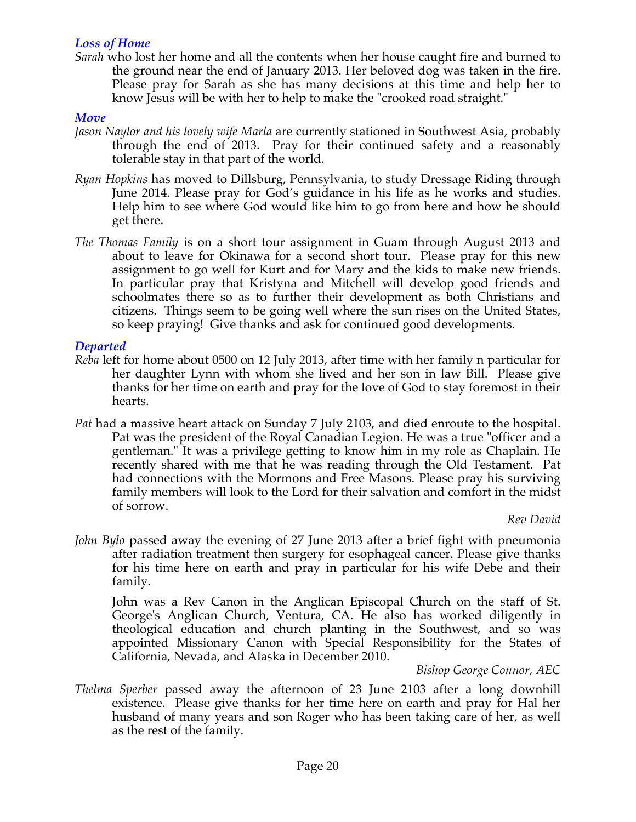### *Loss of Home*

*Sarah* who lost her home and all the contents when her house caught fire and burned to the ground near the end of January 2013. Her beloved dog was taken in the fire. Please pray for Sarah as she has many decisions at this time and help her to know Jesus will be with her to help to make the "crooked road straight."

### *Move*

- *Jason Naylor and his lovely wife Marla* are currently stationed in Southwest Asia, probably through the end of 2013. Pray for their continued safety and a reasonably tolerable stay in that part of the world.
- *Ryan Hopkins* has moved to Dillsburg, Pennsylvania, to study Dressage Riding through June 2014. Please pray for God's guidance in his life as he works and studies. Help him to see where God would like him to go from here and how he should get there.
- *The Thomas Family* is on a short tour assignment in Guam through August 2013 and about to leave for Okinawa for a second short tour. Please pray for this new assignment to go well for Kurt and for Mary and the kids to make new friends. In particular pray that Kristyna and Mitchell will develop good friends and schoolmates there so as to further their development as both Christians and citizens. Things seem to be going well where the sun rises on the United States, so keep praying! Give thanks and ask for continued good developments.

### *Departed*

- *Reba* left for home about 0500 on 12 July 2013, after time with her family n particular for her daughter Lynn with whom she lived and her son in law Bill. Please give thanks for her time on earth and pray for the love of God to stay foremost in their hearts.
- *Pat* had a massive heart attack on Sunday 7 July 2103, and died enroute to the hospital. Pat was the president of the Royal Canadian Legion. He was a true "officer and a gentleman." It was a privilege getting to know him in my role as Chaplain. He recently shared with me that he was reading through the Old Testament. Pat had connections with the Mormons and Free Masons. Please pray his surviving family members will look to the Lord for their salvation and comfort in the midst of sorrow.

*Rev David*

*John Bylo* passed away the evening of 27 June 2013 after a brief fight with pneumonia after radiation treatment then surgery for esophageal cancer. Please give thanks for his time here on earth and pray in particular for his wife Debe and their family.

John was a Rev Canon in the Anglican Episcopal Church on the staff of St. George's Anglican Church, Ventura, CA. He also has worked diligently in theological education and church planting in the Southwest, and so was appointed Missionary Canon with Special Responsibility for the States of California, Nevada, and Alaska in December 2010.

*Bishop George Connor, AEC*

*Thelma Sperber* passed away the afternoon of 23 June 2103 after a long downhill existence. Please give thanks for her time here on earth and pray for Hal her husband of many years and son Roger who has been taking care of her, as well as the rest of the family.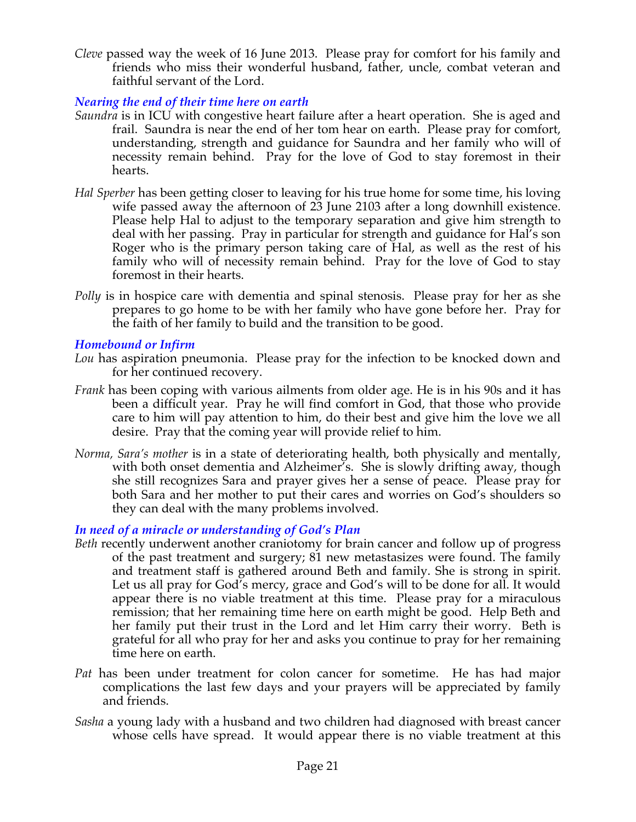*Cleve* passed way the week of 16 June 2013. Please pray for comfort for his family and friends who miss their wonderful husband, father, uncle, combat veteran and faithful servant of the Lord.

## *Nearing the end of their time here on earth*

- *Saundra* is in ICU with congestive heart failure after a heart operation. She is aged and frail. Saundra is near the end of her tom hear on earth. Please pray for comfort, understanding, strength and guidance for Saundra and her family who will of necessity remain behind. Pray for the love of God to stay foremost in their hearts.
- *Hal Sperber* has been getting closer to leaving for his true home for some time, his loving wife passed away the afternoon of 23 June 2103 after a long downhill existence. Please help Hal to adjust to the temporary separation and give him strength to deal with her passing. Pray in particular for strength and guidance for Hal's son Roger who is the primary person taking care of Hal, as well as the rest of his family who will of necessity remain behind. Pray for the love of God to stay foremost in their hearts.
- *Polly* is in hospice care with dementia and spinal stenosis. Please pray for her as she prepares to go home to be with her family who have gone before her. Pray for the faith of her family to build and the transition to be good.

### *Homebound or Infirm*

- *Lou* has aspiration pneumonia. Please pray for the infection to be knocked down and for her continued recovery.
- *Frank* has been coping with various ailments from older age. He is in his 90s and it has been a difficult year. Pray he will find comfort in God, that those who provide care to him will pay attention to him, do their best and give him the love we all desire. Pray that the coming year will provide relief to him.
- *Norma, Sara's mother* is in a state of deteriorating health, both physically and mentally, with both onset dementia and Alzheimer's. She is slowly drifting away, though she still recognizes Sara and prayer gives her a sense of peace. Please pray for both Sara and her mother to put their cares and worries on God's shoulders so they can deal with the many problems involved.

## *In need of a miracle or understanding of God's Plan*

- *Beth* recently underwent another craniotomy for brain cancer and follow up of progress of the past treatment and surgery; 81 new metastasizes were found. The family and treatment staff is gathered around Beth and family. She is strong in spirit. Let us all pray for God's mercy, grace and God's will to be done for all. It would appear there is no viable treatment at this time. Please pray for a miraculous remission; that her remaining time here on earth might be good. Help Beth and her family put their trust in the Lord and let Him carry their worry. Beth is grateful for all who pray for her and asks you continue to pray for her remaining time here on earth.
- *Pat* has been under treatment for colon cancer for sometime. He has had major complications the last few days and your prayers will be appreciated by family and friends.
- *Sasha* a young lady with a husband and two children had diagnosed with breast cancer whose cells have spread. It would appear there is no viable treatment at this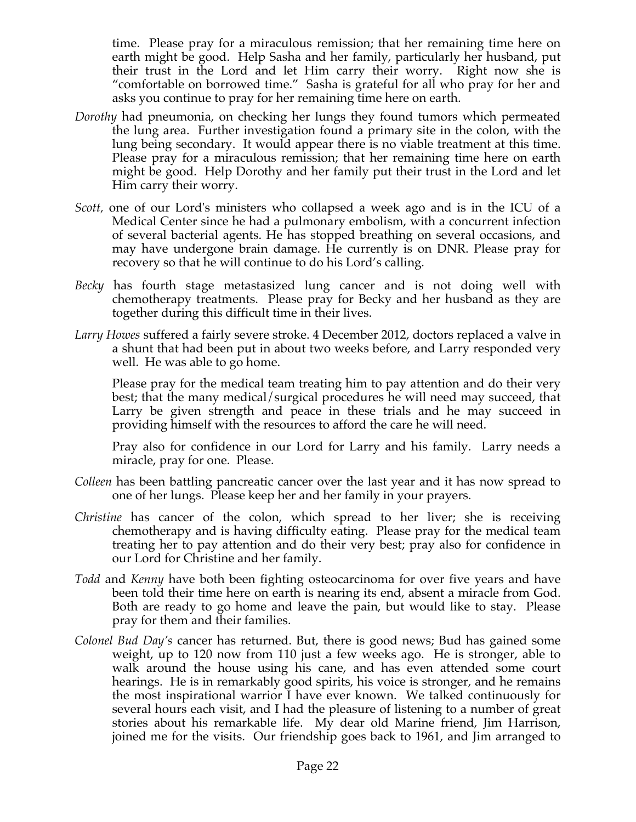time. Please pray for a miraculous remission; that her remaining time here on earth might be good. Help Sasha and her family, particularly her husband, put their trust in the Lord and let Him carry their worry. Right now she is "comfortable on borrowed time." Sasha is grateful for all who pray for her and asks you continue to pray for her remaining time here on earth.

- *Dorothy* had pneumonia, on checking her lungs they found tumors which permeated the lung area. Further investigation found a primary site in the colon, with the lung being secondary. It would appear there is no viable treatment at this time. Please pray for a miraculous remission; that her remaining time here on earth might be good. Help Dorothy and her family put their trust in the Lord and let Him carry their worry.
- *Scott,* one of our Lord's ministers who collapsed a week ago and is in the ICU of a Medical Center since he had a pulmonary embolism, with a concurrent infection of several bacterial agents. He has stopped breathing on several occasions, and may have undergone brain damage. He currently is on DNR. Please pray for recovery so that he will continue to do his Lord's calling*.*
- *Becky* has fourth stage metastasized lung cancer and is not doing well with chemotherapy treatments. Please pray for Becky and her husband as they are together during this difficult time in their lives.
- *Larry Howes* suffered a fairly severe stroke. 4 December 2012, doctors replaced a valve in a shunt that had been put in about two weeks before, and Larry responded very well. He was able to go home.

Please pray for the medical team treating him to pay attention and do their very best; that the many medical/surgical procedures he will need may succeed, that Larry be given strength and peace in these trials and he may succeed in providing himself with the resources to afford the care he will need.

Pray also for confidence in our Lord for Larry and his family. Larry needs a miracle, pray for one. Please.

- *Colleen* has been battling pancreatic cancer over the last year and it has now spread to one of her lungs. Please keep her and her family in your prayers.
- *Christine* has cancer of the colon, which spread to her liver; she is receiving chemotherapy and is having difficulty eating. Please pray for the medical team treating her to pay attention and do their very best; pray also for confidence in our Lord for Christine and her family.
- *Todd* and *Kenny* have both been fighting osteocarcinoma for over five years and have been told their time here on earth is nearing its end, absent a miracle from God. Both are ready to go home and leave the pain, but would like to stay. Please pray for them and their families.
- *Colonel Bud Day's* cancer has returned. But, there is good news; Bud has gained some weight, up to 120 now from 110 just a few weeks ago. He is stronger, able to walk around the house using his cane, and has even attended some court hearings. He is in remarkably good spirits, his voice is stronger, and he remains the most inspirational warrior I have ever known. We talked continuously for several hours each visit, and I had the pleasure of listening to a number of great stories about his remarkable life. My dear old Marine friend, Jim Harrison, joined me for the visits. Our friendship goes back to 1961, and Jim arranged to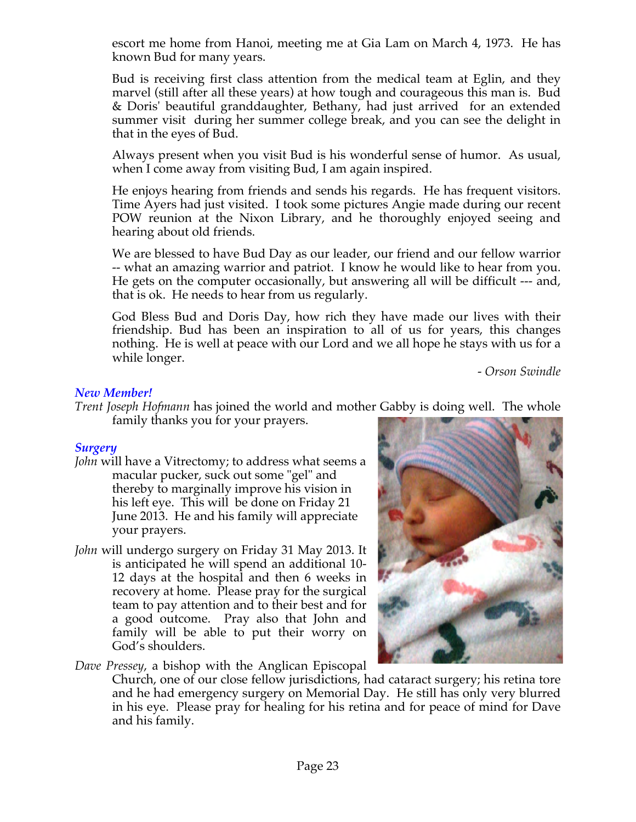escort me home from Hanoi, meeting me at Gia Lam on March 4, 1973. He has known Bud for many years.

Bud is receiving first class attention from the medical team at Eglin, and they marvel (still after all these years) at how tough and courageous this man is. Bud & Doris' beautiful granddaughter, Bethany, had just arrived for an extended summer visit during her summer college break, and you can see the delight in that in the eyes of Bud.

Always present when you visit Bud is his wonderful sense of humor. As usual, when I come away from visiting Bud, I am again inspired.

He enjoys hearing from friends and sends his regards. He has frequent visitors. Time Ayers had just visited. I took some pictures Angie made during our recent POW reunion at the Nixon Library, and he thoroughly enjoyed seeing and hearing about old friends.

We are blessed to have Bud Day as our leader, our friend and our fellow warrior -- what an amazing warrior and patriot. I know he would like to hear from you. He gets on the computer occasionally, but answering all will be difficult --- and, that is ok. He needs to hear from us regularly.

God Bless Bud and Doris Day, how rich they have made our lives with their friendship. Bud has been an inspiration to all of us for years, this changes nothing. He is well at peace with our Lord and we all hope he stays with us for a while longer.

*- Orson Swindle*

#### *New Member!*

*Trent Joseph Hofmann* has joined the world and mother Gabby is doing well. The whole family thanks you for your prayers.

#### *Surgery*

- *John* will have a Vitrectomy; to address what seems a macular pucker, suck out some "gel" and thereby to marginally improve his vision in his left eye. This will be done on Friday 21 June 2013. He and his family will appreciate your prayers.
- *John* will undergo surgery on Friday 31 May 2013. It is anticipated he will spend an additional 10- 12 days at the hospital and then 6 weeks in recovery at home. Please pray for the surgical team to pay attention and to their best and for a good outcome. Pray also that John and family will be able to put their worry on God's shoulders.

*Dave Pressey*, a bishop with the Anglican Episcopal

Church, one of our close fellow jurisdictions, had cataract surgery; his retina tore and he had emergency surgery on Memorial Day. He still has only very blurred in his eye. Please pray for healing for his retina and for peace of mind for Dave and his family.

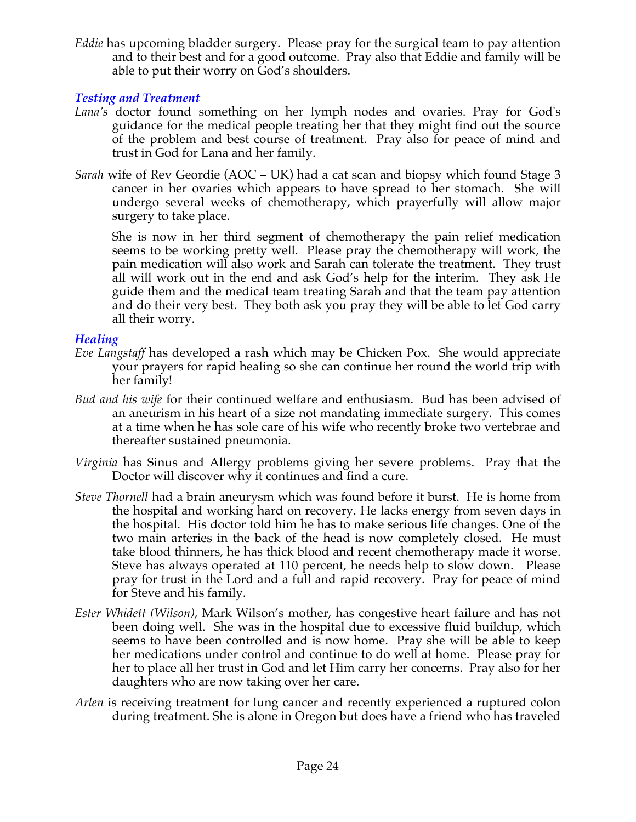*Eddie* has upcoming bladder surgery. Please pray for the surgical team to pay attention and to their best and for a good outcome. Pray also that Eddie and family will be able to put their worry on God's shoulders.

## *Testing and Treatment*

- *Lana's* doctor found something on her lymph nodes and ovaries. Pray for God's guidance for the medical people treating her that they might find out the source of the problem and best course of treatment. Pray also for peace of mind and trust in God for Lana and her family.
- *Sarah* wife of Rev Geordie (AOC UK) had a cat scan and biopsy which found Stage 3 cancer in her ovaries which appears to have spread to her stomach. She will undergo several weeks of chemotherapy, which prayerfully will allow major surgery to take place.

She is now in her third segment of chemotherapy the pain relief medication seems to be working pretty well. Please pray the chemotherapy will work, the pain medication will also work and Sarah can tolerate the treatment. They trust all will work out in the end and ask God's help for the interim. They ask He guide them and the medical team treating Sarah and that the team pay attention and do their very best. They both ask you pray they will be able to let God carry all their worry.

## *Healing*

- *Eve Langstaff* has developed a rash which may be Chicken Pox. She would appreciate your prayers for rapid healing so she can continue her round the world trip with her family!
- *Bud and his wife* for their continued welfare and enthusiasm. Bud has been advised of an aneurism in his heart of a size not mandating immediate surgery. This comes at a time when he has sole care of his wife who recently broke two vertebrae and thereafter sustained pneumonia.
- *Virginia* has Sinus and Allergy problems giving her severe problems. Pray that the Doctor will discover why it continues and find a cure.
- *Steve Thornell* had a brain aneurysm which was found before it burst. He is home from the hospital and working hard on recovery. He lacks energy from seven days in the hospital. His doctor told him he has to make serious life changes. One of the two main arteries in the back of the head is now completely closed. He must take blood thinners, he has thick blood and recent chemotherapy made it worse. Steve has always operated at 110 percent, he needs help to slow down. Please pray for trust in the Lord and a full and rapid recovery. Pray for peace of mind for Steve and his family.
- *Ester Whidett (Wilson)*, Mark Wilson's mother, has congestive heart failure and has not been doing well. She was in the hospital due to excessive fluid buildup, which seems to have been controlled and is now home. Pray she will be able to keep her medications under control and continue to do well at home. Please pray for her to place all her trust in God and let Him carry her concerns. Pray also for her daughters who are now taking over her care.
- *Arlen* is receiving treatment for lung cancer and recently experienced a ruptured colon during treatment. She is alone in Oregon but does have a friend who has traveled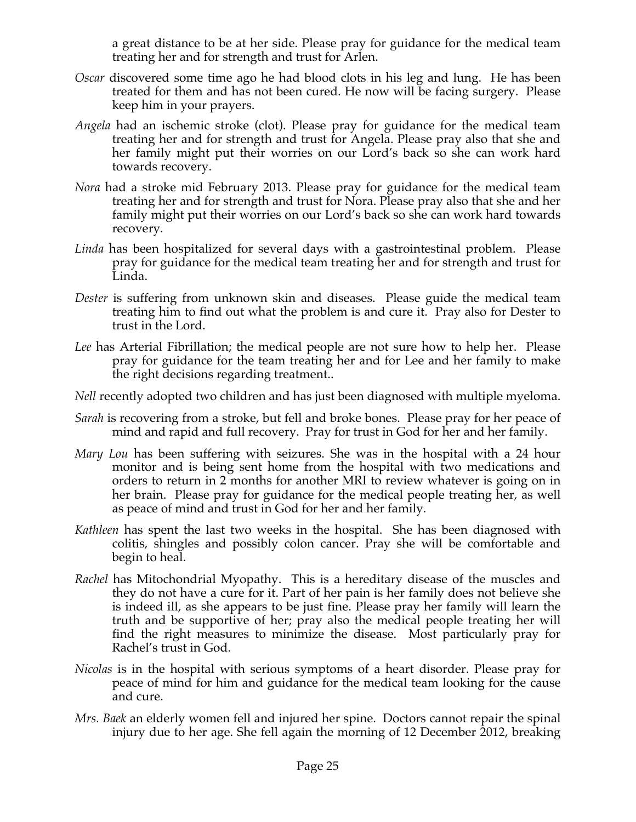a great distance to be at her side. Please pray for guidance for the medical team treating her and for strength and trust for Arlen.

- *Oscar* discovered some time ago he had blood clots in his leg and lung. He has been treated for them and has not been cured. He now will be facing surgery. Please keep him in your prayers.
- *Angela* had an ischemic stroke (clot). Please pray for guidance for the medical team treating her and for strength and trust for Angela. Please pray also that she and her family might put their worries on our Lord's back so she can work hard towards recovery.
- *Nora* had a stroke mid February 2013. Please pray for guidance for the medical team treating her and for strength and trust for Nora. Please pray also that she and her family might put their worries on our Lord's back so she can work hard towards recovery.
- *Linda* has been hospitalized for several days with a gastrointestinal problem. Please pray for guidance for the medical team treating her and for strength and trust for Linda.
- *Dester* is suffering from unknown skin and diseases. Please guide the medical team treating him to find out what the problem is and cure it. Pray also for Dester to trust in the Lord.
- *Lee* has Arterial Fibrillation; the medical people are not sure how to help her. Please pray for guidance for the team treating her and for Lee and her family to make the right decisions regarding treatment..
- *Nell* recently adopted two children and has just been diagnosed with multiple myeloma.
- *Sarah* is recovering from a stroke, but fell and broke bones. Please pray for her peace of mind and rapid and full recovery. Pray for trust in God for her and her family.
- *Mary Lou* has been suffering with seizures. She was in the hospital with a 24 hour monitor and is being sent home from the hospital with two medications and orders to return in 2 months for another MRI to review whatever is going on in her brain. Please pray for guidance for the medical people treating her, as well as peace of mind and trust in God for her and her family.
- *Kathleen* has spent the last two weeks in the hospital. She has been diagnosed with colitis, shingles and possibly colon cancer. Pray she will be comfortable and begin to heal.
- *Rachel* has Mitochondrial Myopathy. This is a hereditary disease of the muscles and they do not have a cure for it. Part of her pain is her family does not believe she is indeed ill, as she appears to be just fine. Please pray her family will learn the truth and be supportive of her; pray also the medical people treating her will find the right measures to minimize the disease. Most particularly pray for Rachel's trust in God.
- *Nicolas* is in the hospital with serious symptoms of a heart disorder. Please pray for peace of mind for him and guidance for the medical team looking for the cause and cure.
- *Mrs. Baek* an elderly women fell and injured her spine. Doctors cannot repair the spinal injury due to her age. She fell again the morning of 12 December 2012, breaking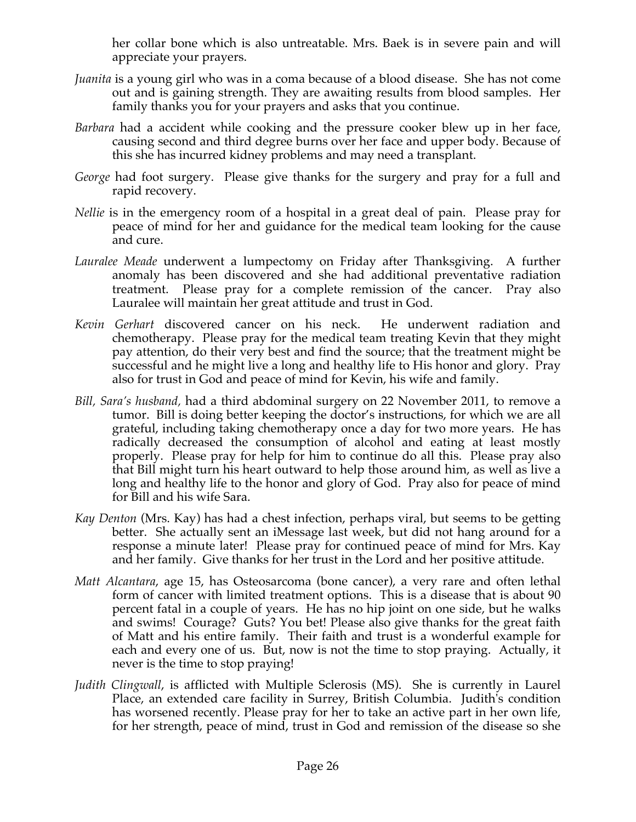her collar bone which is also untreatable. Mrs. Baek is in severe pain and will appreciate your prayers.

- *Juanita* is a young girl who was in a coma because of a blood disease. She has not come out and is gaining strength. They are awaiting results from blood samples. Her family thanks you for your prayers and asks that you continue.
- *Barbara* had a accident while cooking and the pressure cooker blew up in her face, causing second and third degree burns over her face and upper body. Because of this she has incurred kidney problems and may need a transplant.
- *George* had foot surgery. Please give thanks for the surgery and pray for a full and rapid recovery.
- *Nellie* is in the emergency room of a hospital in a great deal of pain. Please pray for peace of mind for her and guidance for the medical team looking for the cause and cure.
- *Lauralee Meade* underwent a lumpectomy on Friday after Thanksgiving. A further anomaly has been discovered and she had additional preventative radiation treatment. Please pray for a complete remission of the cancer. Pray also Lauralee will maintain her great attitude and trust in God.
- *Kevin Gerhart* discovered cancer on his neck. He underwent radiation and chemotherapy. Please pray for the medical team treating Kevin that they might pay attention, do their very best and find the source; that the treatment might be successful and he might live a long and healthy life to His honor and glory. Pray also for trust in God and peace of mind for Kevin, his wife and family.
- *Bill, Sara's husband,* had a third abdominal surgery on 22 November 2011, to remove a tumor. Bill is doing better keeping the doctor's instructions, for which we are all grateful, including taking chemotherapy once a day for two more years. He has radically decreased the consumption of alcohol and eating at least mostly properly. Please pray for help for him to continue do all this. Please pray also that Bill might turn his heart outward to help those around him, as well as live a long and healthy life to the honor and glory of God. Pray also for peace of mind for Bill and his wife Sara.
- *Kay Denton* (Mrs. Kay) has had a chest infection, perhaps viral, but seems to be getting better. She actually sent an iMessage last week, but did not hang around for a response a minute later! Please pray for continued peace of mind for Mrs. Kay and her family. Give thanks for her trust in the Lord and her positive attitude.
- *Matt Alcantara*, age 15, has Osteosarcoma (bone cancer), a very rare and often lethal form of cancer with limited treatment options. This is a disease that is about 90 percent fatal in a couple of years. He has no hip joint on one side, but he walks and swims! Courage? Guts? You bet! Please also give thanks for the great faith of Matt and his entire family. Their faith and trust is a wonderful example for each and every one of us. But, now is not the time to stop praying. Actually, it never is the time to stop praying!
- *Judith Clingwall*, is afflicted with Multiple Sclerosis (MS). She is currently in Laurel Place, an extended care facility in Surrey, British Columbia. Judith's condition has worsened recently. Please pray for her to take an active part in her own life, for her strength, peace of mind, trust in God and remission of the disease so she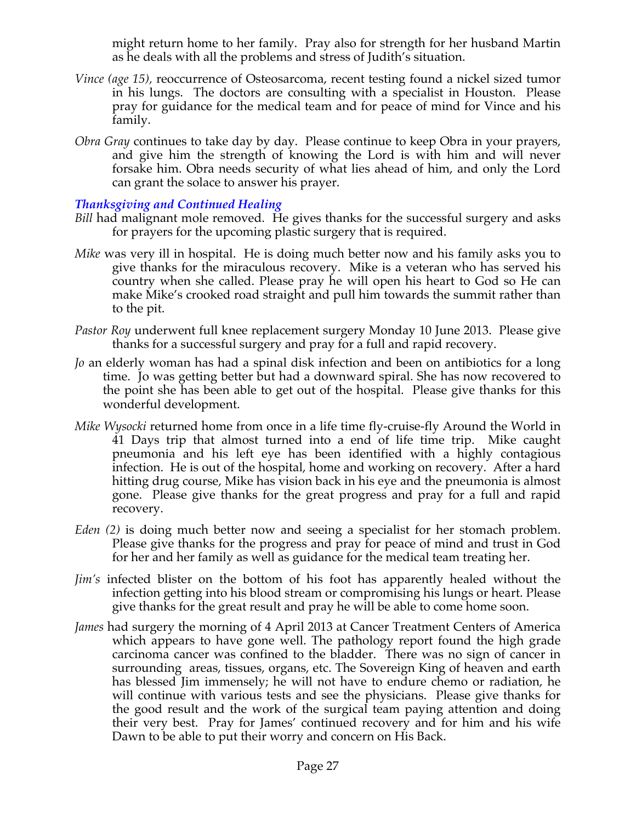might return home to her family. Pray also for strength for her husband Martin as he deals with all the problems and stress of Judith's situation.

- *Vince (age 15),* reoccurrence of Osteosarcoma, recent testing found a nickel sized tumor in his lungs. The doctors are consulting with a specialist in Houston. Please pray for guidance for the medical team and for peace of mind for Vince and his family.
- *Obra Gray* continues to take day by day. Please continue to keep Obra in your prayers, and give him the strength of knowing the Lord is with him and will never forsake him. Obra needs security of what lies ahead of him, and only the Lord can grant the solace to answer his prayer.

### *Thanksgiving and Continued Healing*

- *Bill* had malignant mole removed. He gives thanks for the successful surgery and asks for prayers for the upcoming plastic surgery that is required.
- *Mike* was very ill in hospital. He is doing much better now and his family asks you to give thanks for the miraculous recovery. Mike is a veteran who has served his country when she called. Please pray he will open his heart to God so He can make Mike's crooked road straight and pull him towards the summit rather than to the pit.
- *Pastor Roy* underwent full knee replacement surgery Monday 10 June 2013. Please give thanks for a successful surgery and pray for a full and rapid recovery.
- *Jo* an elderly woman has had a spinal disk infection and been on antibiotics for a long time. Jo was getting better but had a downward spiral. She has now recovered to the point she has been able to get out of the hospital. Please give thanks for this wonderful development.
- *Mike Wysocki* returned home from once in a life time fly-cruise-fly Around the World in 41 Days trip that almost turned into a end of life time trip. Mike caught pneumonia and his left eye has been identified with a highly contagious infection. He is out of the hospital, home and working on recovery. After a hard hitting drug course, Mike has vision back in his eye and the pneumonia is almost gone. Please give thanks for the great progress and pray for a full and rapid recovery.
- *Eden (2)* is doing much better now and seeing a specialist for her stomach problem. Please give thanks for the progress and pray for peace of mind and trust in God for her and her family as well as guidance for the medical team treating her.
- *Jim's* infected blister on the bottom of his foot has apparently healed without the infection getting into his blood stream or compromising his lungs or heart. Please give thanks for the great result and pray he will be able to come home soon.
- *James* had surgery the morning of 4 April 2013 at Cancer Treatment Centers of America which appears to have gone well. The pathology report found the high grade carcinoma cancer was confined to the bladder. There was no sign of cancer in surrounding areas, tissues, organs, etc. The Sovereign King of heaven and earth has blessed Jim immensely; he will not have to endure chemo or radiation, he will continue with various tests and see the physicians. Please give thanks for the good result and the work of the surgical team paying attention and doing their very best. Pray for James' continued recovery and for him and his wife Dawn to be able to put their worry and concern on His Back.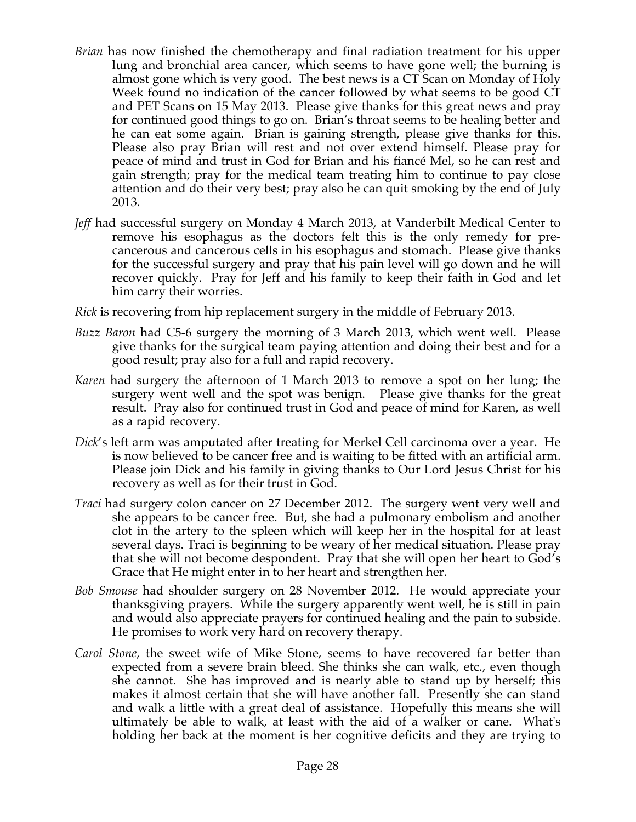- *Brian* has now finished the chemotherapy and final radiation treatment for his upper lung and bronchial area cancer, which seems to have gone well; the burning is almost gone which is very good. The best news is a CT Scan on Monday of Holy Week found no indication of the cancer followed by what seems to be good CT and PET Scans on 15 May 2013. Please give thanks for this great news and pray for continued good things to go on. Brian's throat seems to be healing better and he can eat some again. Brian is gaining strength, please give thanks for this. Please also pray Brian will rest and not over extend himself. Please pray for peace of mind and trust in God for Brian and his fiancé Mel, so he can rest and gain strength; pray for the medical team treating him to continue to pay close attention and do their very best; pray also he can quit smoking by the end of July 2013.
- *Jeff* had successful surgery on Monday 4 March 2013, at Vanderbilt Medical Center to remove his esophagus as the doctors felt this is the only remedy for precancerous and cancerous cells in his esophagus and stomach. Please give thanks for the successful surgery and pray that his pain level will go down and he will recover quickly. Pray for Jeff and his family to keep their faith in God and let him carry their worries.
- *Rick* is recovering from hip replacement surgery in the middle of February 2013.
- *Buzz Baron* had C5-6 surgery the morning of 3 March 2013, which went well. Please give thanks for the surgical team paying attention and doing their best and for a good result; pray also for a full and rapid recovery.
- *Karen* had surgery the afternoon of 1 March 2013 to remove a spot on her lung; the surgery went well and the spot was benign. Please give thanks for the great result. Pray also for continued trust in God and peace of mind for Karen, as well as a rapid recovery.
- *Dick*'s left arm was amputated after treating for Merkel Cell carcinoma over a year. He is now believed to be cancer free and is waiting to be fitted with an artificial arm. Please join Dick and his family in giving thanks to Our Lord Jesus Christ for his recovery as well as for their trust in God.
- *Traci* had surgery colon cancer on 27 December 2012. The surgery went very well and she appears to be cancer free. But, she had a pulmonary embolism and another clot in the artery to the spleen which will keep her in the hospital for at least several days. Traci is beginning to be weary of her medical situation. Please pray that she will not become despondent. Pray that she will open her heart to God's Grace that He might enter in to her heart and strengthen her.
- *Bob Smouse* had shoulder surgery on 28 November 2012. He would appreciate your thanksgiving prayers. While the surgery apparently went well, he is still in pain and would also appreciate prayers for continued healing and the pain to subside. He promises to work very hard on recovery therapy.
- *Carol Stone*, the sweet wife of Mike Stone, seems to have recovered far better than expected from a severe brain bleed. She thinks she can walk, etc., even though she cannot. She has improved and is nearly able to stand up by herself; this makes it almost certain that she will have another fall. Presently she can stand and walk a little with a great deal of assistance. Hopefully this means she will ultimately be able to walk, at least with the aid of a walker or cane. What's holding her back at the moment is her cognitive deficits and they are trying to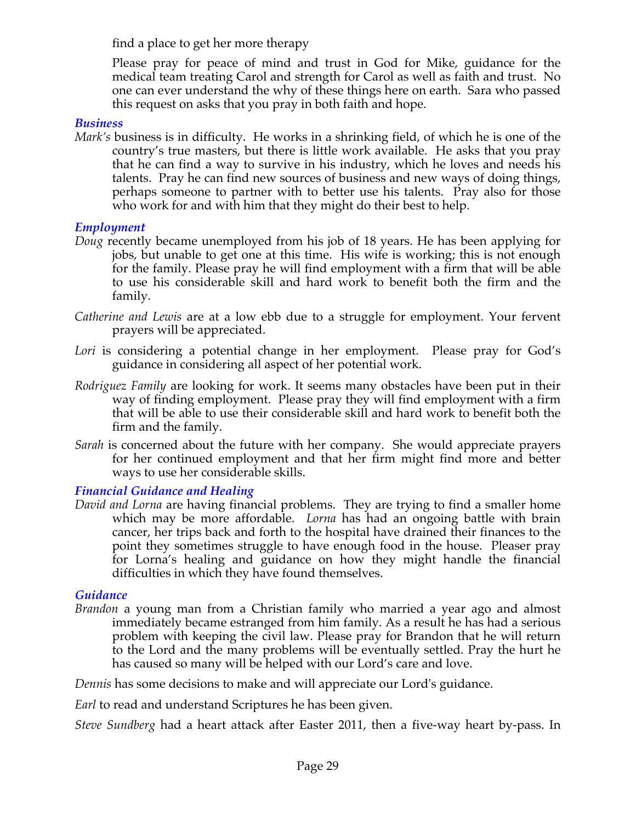find a place to get her more therapy

Please pray for peace of mind and trust in God for Mike, guidance for the medical team treating Carol and strength for Carol as well as faith and trust. No one can ever understand the why of these things here on earth. Sara who passed this request on asks that you pray in both faith and hope.

### *Business*

*Mark's* business is in difficulty. He works in a shrinking field, of which he is one of the country's true masters, but there is little work available. He asks that you pray that he can find a way to survive in his industry, which he loves and needs his talents. Pray he can find new sources of business and new ways of doing things, perhaps someone to partner with to better use his talents. Pray also for those who work for and with him that they might do their best to help.

## *Employment*

- *Doug* recently became unemployed from his job of 18 years. He has been applying for jobs, but unable to get one at this time. His wife is working; this is not enough for the family. Please pray he will find employment with a firm that will be able to use his considerable skill and hard work to benefit both the firm and the family.
- *Catherine and Lewis* are at a low ebb due to a struggle for employment. Your fervent prayers will be appreciated.
- Lori is considering a potential change in her employment. Please pray for God's guidance in considering all aspect of her potential work.
- *Rodriguez Family* are looking for work. It seems many obstacles have been put in their way of finding employment. Please pray they will find employment with a firm that will be able to use their considerable skill and hard work to benefit both the firm and the family.
- *Sarah* is concerned about the future with her company. She would appreciate prayers for her continued employment and that her firm might find more and better ways to use her considerable skills.

*Financial Guidance and Healing*

*David and Lorna* are having financial problems. They are trying to find a smaller home which may be more affordable. *Lorna* has had an ongoing battle with brain cancer, her trips back and forth to the hospital have drained their finances to the point they sometimes struggle to have enough food in the house. Pleaser pray for Lorna's healing and guidance on how they might handle the financial difficulties in which they have found themselves.

## *Guidance*

*Brandon* a young man from a Christian family who married a year ago and almost immediately became estranged from him family. As a result he has had a serious problem with keeping the civil law. Please pray for Brandon that he will return to the Lord and the many problems will be eventually settled. Pray the hurt he has caused so many will be helped with our Lord's care and love.

*Dennis* has some decisions to make and will appreciate our Lord's guidance.

*Earl* to read and understand Scriptures he has been given.

*Steve Sundberg* had a heart attack after Easter 2011, then a five-way heart by-pass. In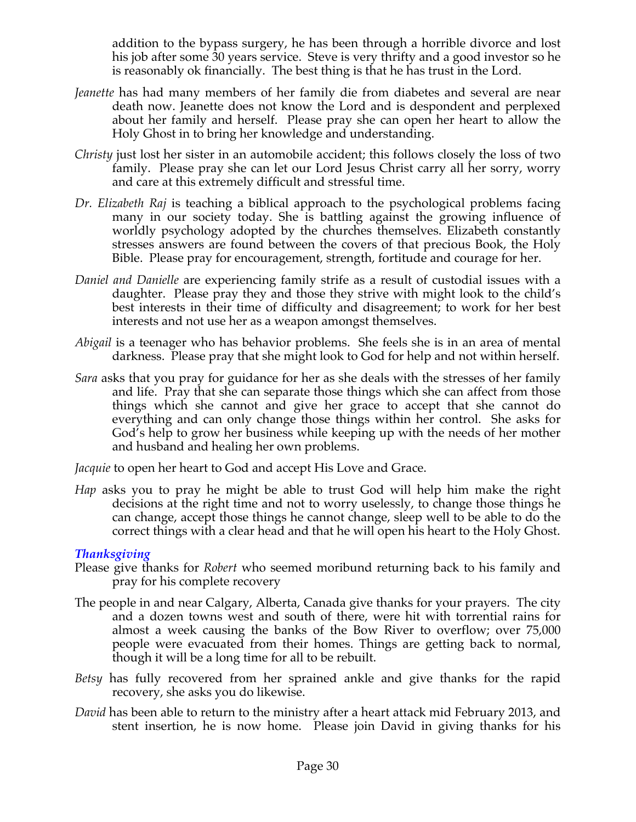addition to the bypass surgery, he has been through a horrible divorce and lost his job after some 30 years service. Steve is very thrifty and a good investor so he is reasonably ok financially. The best thing is that he has trust in the Lord.

- *Jeanette* has had many members of her family die from diabetes and several are near death now. Jeanette does not know the Lord and is despondent and perplexed about her family and herself. Please pray she can open her heart to allow the Holy Ghost in to bring her knowledge and understanding.
- *Christy* just lost her sister in an automobile accident; this follows closely the loss of two family. Please pray she can let our Lord Jesus Christ carry all her sorry, worry and care at this extremely difficult and stressful time.
- *Dr. Elizabeth Raj* is teaching a biblical approach to the psychological problems facing many in our society today. She is battling against the growing influence of worldly psychology adopted by the churches themselves. Elizabeth constantly stresses answers are found between the covers of that precious Book, the Holy Bible. Please pray for encouragement, strength, fortitude and courage for her.
- *Daniel and Danielle* are experiencing family strife as a result of custodial issues with a daughter. Please pray they and those they strive with might look to the child's best interests in their time of difficulty and disagreement; to work for her best interests and not use her as a weapon amongst themselves.
- *Abigail* is a teenager who has behavior problems. She feels she is in an area of mental darkness. Please pray that she might look to God for help and not within herself.
- *Sara* asks that you pray for guidance for her as she deals with the stresses of her family and life. Pray that she can separate those things which she can affect from those things which she cannot and give her grace to accept that she cannot do everything and can only change those things within her control. She asks for God's help to grow her business while keeping up with the needs of her mother and husband and healing her own problems.

*Jacquie* to open her heart to God and accept His Love and Grace.

*Hap* asks you to pray he might be able to trust God will help him make the right decisions at the right time and not to worry uselessly, to change those things he can change, accept those things he cannot change, sleep well to be able to do the correct things with a clear head and that he will open his heart to the Holy Ghost.

## *Thanksgiving*

- Please give thanks for *Robert* who seemed moribund returning back to his family and pray for his complete recovery
- The people in and near Calgary, Alberta, Canada give thanks for your prayers. The city and a dozen towns west and south of there, were hit with torrential rains for almost a week causing the banks of the Bow River to overflow; over 75,000 people were evacuated from their homes. Things are getting back to normal, though it will be a long time for all to be rebuilt.
- *Betsy* has fully recovered from her sprained ankle and give thanks for the rapid recovery, she asks you do likewise.
- *David* has been able to return to the ministry after a heart attack mid February 2013, and stent insertion, he is now home. Please join David in giving thanks for his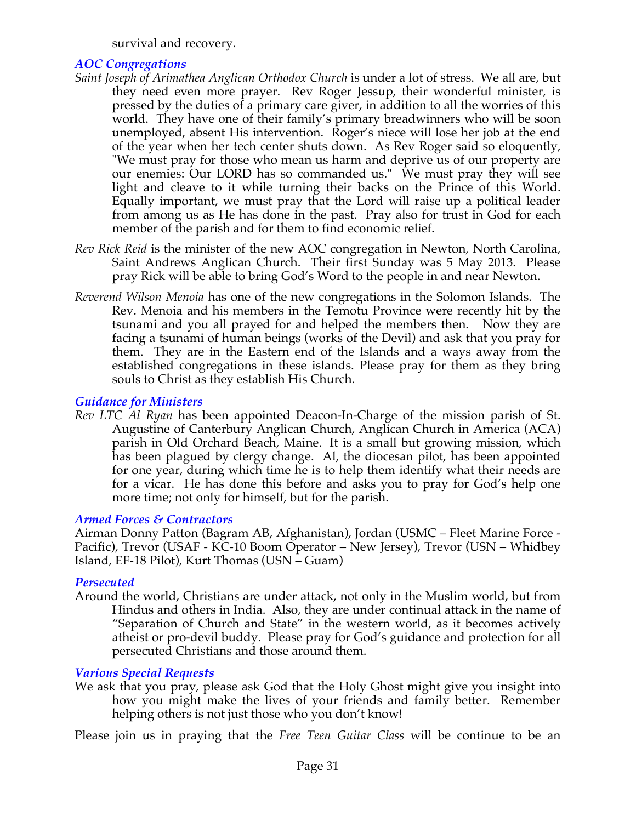survival and recovery.

### *AOC Congregations*

- *Saint Joseph of Arimathea Anglican Orthodox Church* is under a lot of stress. We all are, but they need even more prayer. Rev Roger Jessup, their wonderful minister, is pressed by the duties of a primary care giver, in addition to all the worries of this world. They have one of their family's primary breadwinners who will be soon unemployed, absent His intervention. Roger's niece will lose her job at the end of the year when her tech center shuts down. As Rev Roger said so eloquently, "We must pray for those who mean us harm and deprive us of our property are our enemies: Our LORD has so commanded us." We must pray they will see light and cleave to it while turning their backs on the Prince of this World. Equally important, we must pray that the Lord will raise up a political leader from among us as He has done in the past. Pray also for trust in God for each member of the parish and for them to find economic relief.
- *Rev Rick Reid* is the minister of the new AOC congregation in Newton, North Carolina, Saint Andrews Anglican Church. Their first Sunday was 5 May 2013. Please pray Rick will be able to bring God's Word to the people in and near Newton.
- *Reverend Wilson Menoia* has one of the new congregations in the Solomon Islands. The Rev. Menoia and his members in the Temotu Province were recently hit by the tsunami and you all prayed for and helped the members then. Now they are facing a tsunami of human beings (works of the Devil) and ask that you pray for them. They are in the Eastern end of the Islands and a ways away from the established congregations in these islands. Please pray for them as they bring souls to Christ as they establish His Church.

## *Guidance for Ministers*

*Rev LTC Al Ryan* has been appointed Deacon-In-Charge of the mission parish of St. Augustine of Canterbury Anglican Church, Anglican Church in America (ACA) parish in Old Orchard Beach, Maine. It is a small but growing mission, which has been plagued by clergy change. Al, the diocesan pilot, has been appointed for one year, during which time he is to help them identify what their needs are for a vicar. He has done this before and asks you to pray for God's help one more time; not only for himself, but for the parish.

### *Armed Forces & Contractors*

Airman Donny Patton (Bagram AB, Afghanistan), Jordan (USMC – Fleet Marine Force - Pacific), Trevor (USAF - KC-10 Boom Operator – New Jersey), Trevor (USN – Whidbey Island, EF-18 Pilot), Kurt Thomas (USN – Guam)

## *Persecuted*

Around the world, Christians are under attack, not only in the Muslim world, but from Hindus and others in India. Also, they are under continual attack in the name of "Separation of Church and State" in the western world, as it becomes actively atheist or pro-devil buddy. Please pray for God's guidance and protection for all persecuted Christians and those around them.

## *Various Special Requests*

We ask that you pray, please ask God that the Holy Ghost might give you insight into how you might make the lives of your friends and family better. Remember helping others is not just those who you don't know!

Please join us in praying that the *Free Teen Guitar Class* will be continue to be an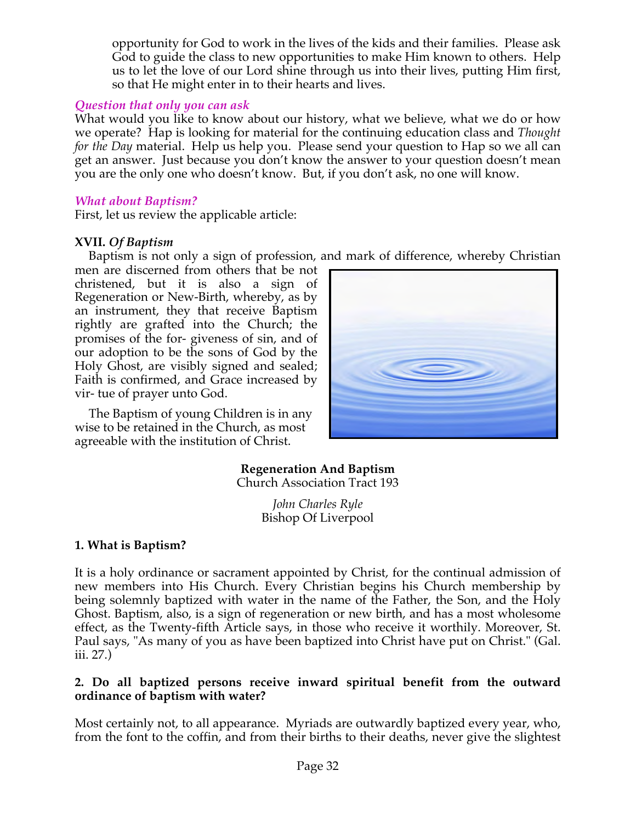opportunity for God to work in the lives of the kids and their families. Please ask God to guide the class to new opportunities to make Him known to others. Help us to let the love of our Lord shine through us into their lives, putting Him first, so that He might enter in to their hearts and lives.

### *Question that only you can ask*

What would you like to know about our history, what we believe, what we do or how we operate? Hap is looking for material for the continuing education class and *Thought for the Day* material. Help us help you. Please send your question to Hap so we all can get an answer. Just because you don't know the answer to your question doesn't mean you are the only one who doesn't know. But, if you don't ask, no one will know.

### *What about Baptism?*

First, let us review the applicable article:

### **XVII.** *Of Baptism*

Baptism is not only a sign of profession, and mark of difference, whereby Christian

men are discerned from others that be not christened, but it is also a sign of Regeneration or New-Birth, whereby, as by an instrument, they that receive Baptism rightly are grafted into the Church; the promises of the for- giveness of sin, and of our adoption to be the sons of God by the Holy Ghost, are visibly signed and sealed; Faith is confirmed, and Grace increased by vir- tue of prayer unto God.

The Baptism of young Children is in any wise to be retained in the Church, as most agreeable with the institution of Christ.



**Regeneration And Baptism** Church Association Tract 193

> *John Charles Ryle* Bishop Of Liverpool

### **1. What is Baptism?**

It is a holy ordinance or sacrament appointed by Christ, for the continual admission of new members into His Church. Every Christian begins his Church membership by being solemnly baptized with water in the name of the Father, the Son, and the Holy Ghost. Baptism, also, is a sign of regeneration or new birth, and has a most wholesome effect, as the Twenty-fifth Article says, in those who receive it worthily. Moreover, St. Paul says, "As many of you as have been baptized into Christ have put on Christ." (Gal. iii. 27.)

### **2. Do all baptized persons receive inward spiritual benefit from the outward ordinance of baptism with water?**

Most certainly not, to all appearance. Myriads are outwardly baptized every year, who, from the font to the coffin, and from their births to their deaths, never give the slightest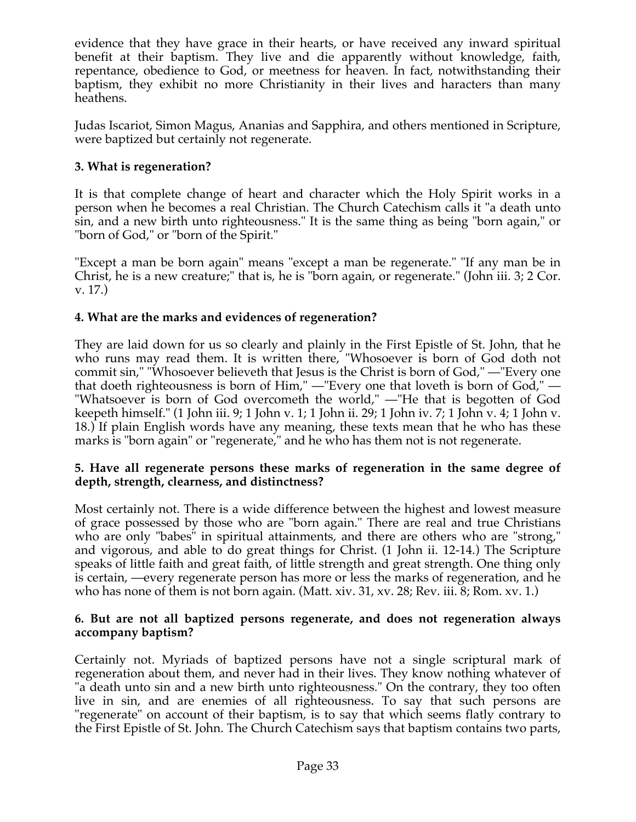evidence that they have grace in their hearts, or have received any inward spiritual benefit at their baptism. They live and die apparently without knowledge, faith, repentance, obedience to God, or meetness for heaven. In fact, notwithstanding their baptism, they exhibit no more Christianity in their lives and haracters than many heathens.

Judas Iscariot, Simon Magus, Ananias and Sapphira, and others mentioned in Scripture, were baptized but certainly not regenerate.

## **3. What is regeneration?**

It is that complete change of heart and character which the Holy Spirit works in a person when he becomes a real Christian. The Church Catechism calls it "a death unto sin, and a new birth unto righteousness." It is the same thing as being "born again," or "born of God," or "born of the Spirit."

"Except a man be born again" means "except a man be regenerate." "If any man be in Christ, he is a new creature;" that is, he is "born again, or regenerate." (John iii. 3; 2 Cor. v. 17.)

## **4. What are the marks and evidences of regeneration?**

They are laid down for us so clearly and plainly in the First Epistle of St. John, that he who runs may read them. It is written there, "Whosoever is born of God doth not commit sin," "Whosoever believeth that Jesus is the Christ is born of God," —"Every one that doeth righteousness is born of Him," —"Every one that loveth is born of God," — "Whatsoever is born of God overcometh the world," —"He that is begotten of God keepeth himself." (1 John iii. 9; 1 John v. 1; 1 John ii. 29; 1 John iv. 7; 1 John v. 4; 1 John v. 18.) If plain English words have any meaning, these texts mean that he who has these marks is "born again" or "regenerate," and he who has them not is not regenerate.

### **5. Have all regenerate persons these marks of regeneration in the same degree of depth, strength, clearness, and distinctness?**

Most certainly not. There is a wide difference between the highest and lowest measure of grace possessed by those who are "born again." There are real and true Christians who are only "babes" in spiritual attainments, and there are others who are "strong," and vigorous, and able to do great things for Christ. (1 John ii. 12-14.) The Scripture speaks of little faith and great faith, of little strength and great strength. One thing only is certain, —every regenerate person has more or less the marks of regeneration, and he who has none of them is not born again. (Matt. xiv. 31, xv. 28; Rev. iii. 8; Rom. xv. 1.)

### **6. But are not all baptized persons regenerate, and does not regeneration always accompany baptism?**

Certainly not. Myriads of baptized persons have not a single scriptural mark of regeneration about them, and never had in their lives. They know nothing whatever of "a death unto sin and a new birth unto righteousness." On the contrary, they too often live in sin, and are enemies of all righteousness. To say that such persons are "regenerate" on account of their baptism, is to say that which seems flatly contrary to the First Epistle of St. John. The Church Catechism says that baptism contains two parts,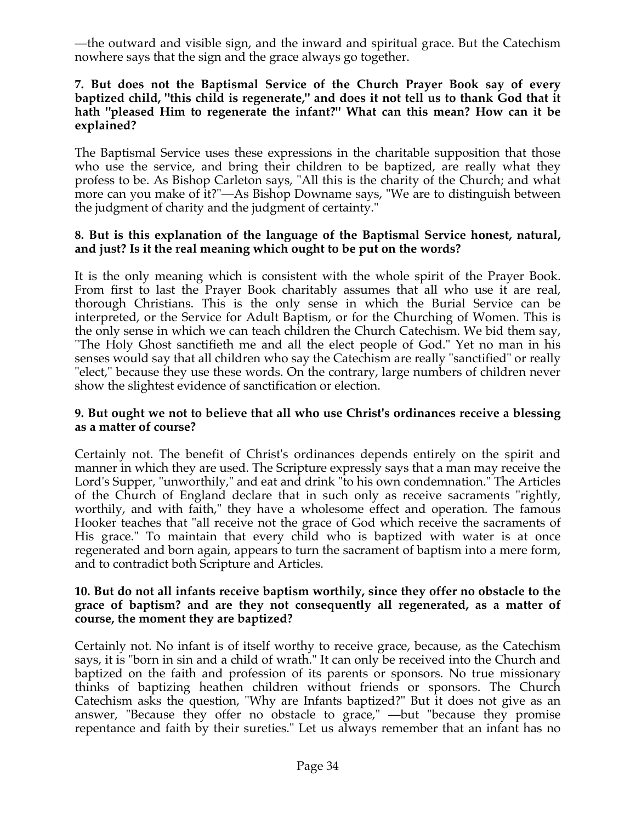—the outward and visible sign, and the inward and spiritual grace. But the Catechism nowhere says that the sign and the grace always go together.

#### **7. But does not the Baptismal Service of the Church Prayer Book say of every baptized child, "this child is regenerate," and does it not tell us to thank God that it hath "pleased Him to regenerate the infant?" What can this mean? How can it be explained?**

The Baptismal Service uses these expressions in the charitable supposition that those who use the service, and bring their children to be baptized, are really what they profess to be. As Bishop Carleton says, "All this is the charity of the Church; and what more can you make of it?"—As Bishop Downame says, "We are to distinguish between the judgment of charity and the judgment of certainty."

#### **8. But is this explanation of the language of the Baptismal Service honest, natural, and just? Is it the real meaning which ought to be put on the words?**

It is the only meaning which is consistent with the whole spirit of the Prayer Book. From first to last the Prayer Book charitably assumes that all who use it are real, thorough Christians. This is the only sense in which the Burial Service can be interpreted, or the Service for Adult Baptism, or for the Churching of Women. This is the only sense in which we can teach children the Church Catechism. We bid them say, "The Holy Ghost sanctifieth me and all the elect people of God." Yet no man in his senses would say that all children who say the Catechism are really "sanctified" or really "elect," because they use these words. On the contrary, large numbers of children never show the slightest evidence of sanctification or election.

### **9. But ought we not to believe that all who use Christ's ordinances receive a blessing as a matter of course?**

Certainly not. The benefit of Christ's ordinances depends entirely on the spirit and manner in which they are used. The Scripture expressly says that a man may receive the Lord's Supper, "unworthily," and eat and drink "to his own condemnation." The Articles of the Church of England declare that in such only as receive sacraments "rightly, worthily, and with faith," they have a wholesome effect and operation. The famous Hooker teaches that "all receive not the grace of God which receive the sacraments of His grace." To maintain that every child who is baptized with water is at once regenerated and born again, appears to turn the sacrament of baptism into a mere form, and to contradict both Scripture and Articles.

#### **10. But do not all infants receive baptism worthily, since they offer no obstacle to the grace of baptism? and are they not consequently all regenerated, as a matter of course, the moment they are baptized?**

Certainly not. No infant is of itself worthy to receive grace, because, as the Catechism says, it is "born in sin and a child of wrath." It can only be received into the Church and baptized on the faith and profession of its parents or sponsors. No true missionary thinks of baptizing heathen children without friends or sponsors. The Church Catechism asks the question, "Why are Infants baptized?" But it does not give as an answer, "Because they offer no obstacle to grace," —but "because they promise repentance and faith by their sureties." Let us always remember that an infant has no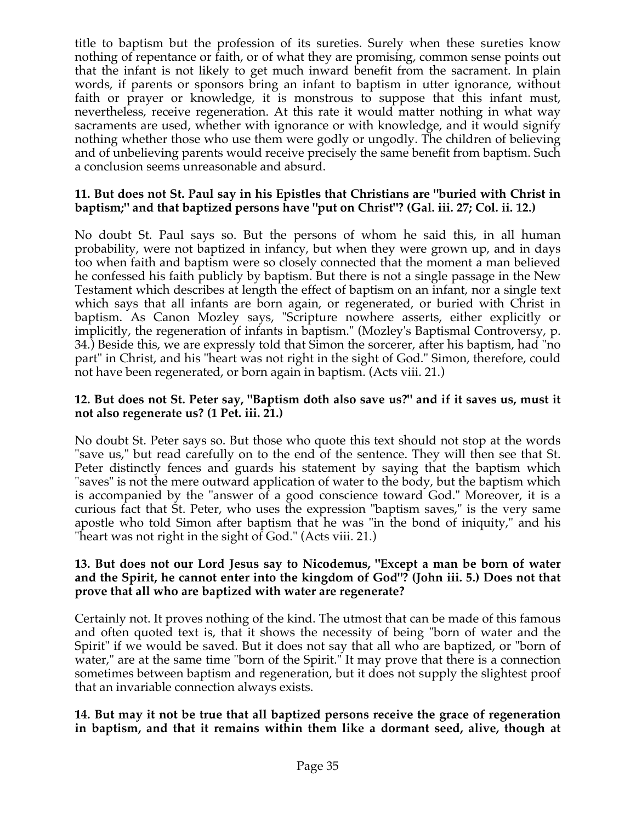title to baptism but the profession of its sureties. Surely when these sureties know nothing of repentance or faith, or of what they are promising, common sense points out that the infant is not likely to get much inward benefit from the sacrament. In plain words, if parents or sponsors bring an infant to baptism in utter ignorance, without faith or prayer or knowledge, it is monstrous to suppose that this infant must, nevertheless, receive regeneration. At this rate it would matter nothing in what way sacraments are used, whether with ignorance or with knowledge, and it would signify nothing whether those who use them were godly or ungodly. The children of believing and of unbelieving parents would receive precisely the same benefit from baptism. Such a conclusion seems unreasonable and absurd.

#### **11. But does not St. Paul say in his Epistles that Christians are "buried with Christ in baptism;" and that baptized persons have "put on Christ"? (Gal. iii. 27; Col. ii. 12.)**

No doubt St. Paul says so. But the persons of whom he said this, in all human probability, were not baptized in infancy, but when they were grown up, and in days too when faith and baptism were so closely connected that the moment a man believed he confessed his faith publicly by baptism. But there is not a single passage in the New Testament which describes at length the effect of baptism on an infant, nor a single text which says that all infants are born again, or regenerated, or buried with Christ in baptism. As Canon Mozley says, "Scripture nowhere asserts, either explicitly or implicitly, the regeneration of infants in baptism." (Mozley's Baptismal Controversy, p. 34.) Beside this, we are expressly told that Simon the sorcerer, after his baptism, had "no part" in Christ, and his "heart was not right in the sight of God." Simon, therefore, could not have been regenerated, or born again in baptism. (Acts viii. 21.)

### **12. But does not St. Peter say, "Baptism doth also save us?" and if it saves us, must it not also regenerate us? (1 Pet. iii. 21.)**

No doubt St. Peter says so. But those who quote this text should not stop at the words "save us," but read carefully on to the end of the sentence. They will then see that St. Peter distinctly fences and guards his statement by saying that the baptism which "saves" is not the mere outward application of water to the body, but the baptism which is accompanied by the "answer of a good conscience toward God." Moreover, it is a curious fact that St. Peter, who uses the expression "baptism saves," is the very same apostle who told Simon after baptism that he was "in the bond of iniquity," and his "heart was not right in the sight of God." (Acts viii. 21.)

#### **13. But does not our Lord Jesus say to Nicodemus, "Except a man be born of water and the Spirit, he cannot enter into the kingdom of God"? (John iii. 5.) Does not that prove that all who are baptized with water are regenerate?**

Certainly not. It proves nothing of the kind. The utmost that can be made of this famous and often quoted text is, that it shows the necessity of being "born of water and the Spirit" if we would be saved. But it does not say that all who are baptized, or "born of water," are at the same time "born of the Spirit." It may prove that there is a connection sometimes between baptism and regeneration, but it does not supply the slightest proof that an invariable connection always exists.

### **14. But may it not be true that all baptized persons receive the grace of regeneration in baptism, and that it remains within them like a dormant seed, alive, though at**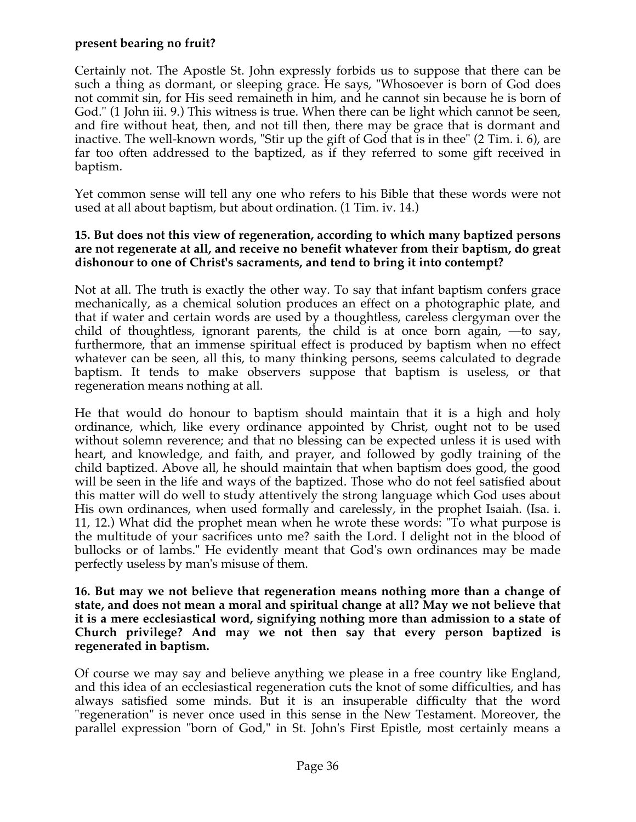### **present bearing no fruit?**

Certainly not. The Apostle St. John expressly forbids us to suppose that there can be such a thing as dormant, or sleeping grace. He says, "Whosoever is born of God does not commit sin, for His seed remaineth in him, and he cannot sin because he is born of God." (1 John iii. 9.) This witness is true. When there can be light which cannot be seen, and fire without heat, then, and not till then, there may be grace that is dormant and inactive. The well-known words, "Stir up the gift of God that is in thee" (2 Tim. i. 6), are far too often addressed to the baptized, as if they referred to some gift received in baptism.

Yet common sense will tell any one who refers to his Bible that these words were not used at all about baptism, but about ordination. (1 Tim. iv. 14.)

#### **15. But does not this view of regeneration, according to which many baptized persons are not regenerate at all, and receive no benefit whatever from their baptism, do great dishonour to one of Christ's sacraments, and tend to bring it into contempt?**

Not at all. The truth is exactly the other way. To say that infant baptism confers grace mechanically, as a chemical solution produces an effect on a photographic plate, and that if water and certain words are used by a thoughtless, careless clergyman over the child of thoughtless, ignorant parents, the child is at once born again, —to say, furthermore, that an immense spiritual effect is produced by baptism when no effect whatever can be seen, all this, to many thinking persons, seems calculated to degrade baptism. It tends to make observers suppose that baptism is useless, or that regeneration means nothing at all.

He that would do honour to baptism should maintain that it is a high and holy ordinance, which, like every ordinance appointed by Christ, ought not to be used without solemn reverence; and that no blessing can be expected unless it is used with heart, and knowledge, and faith, and prayer, and followed by godly training of the child baptized. Above all, he should maintain that when baptism does good, the good will be seen in the life and ways of the baptized. Those who do not feel satisfied about this matter will do well to study attentively the strong language which God uses about His own ordinances, when used formally and carelessly, in the prophet Isaiah. (Isa. i. 11, 12.) What did the prophet mean when he wrote these words: "To what purpose is the multitude of your sacrifices unto me? saith the Lord. I delight not in the blood of bullocks or of lambs." He evidently meant that God's own ordinances may be made perfectly useless by man's misuse of them.

**16. But may we not believe that regeneration means nothing more than a change of state, and does not mean a moral and spiritual change at all? May we not believe that it is a mere ecclesiastical word, signifying nothing more than admission to a state of Church privilege? And may we not then say that every person baptized is regenerated in baptism.**

Of course we may say and believe anything we please in a free country like England, and this idea of an ecclesiastical regeneration cuts the knot of some difficulties, and has always satisfied some minds. But it is an insuperable difficulty that the word "regeneration" is never once used in this sense in the New Testament. Moreover, the parallel expression "born of God," in St. John's First Epistle, most certainly means a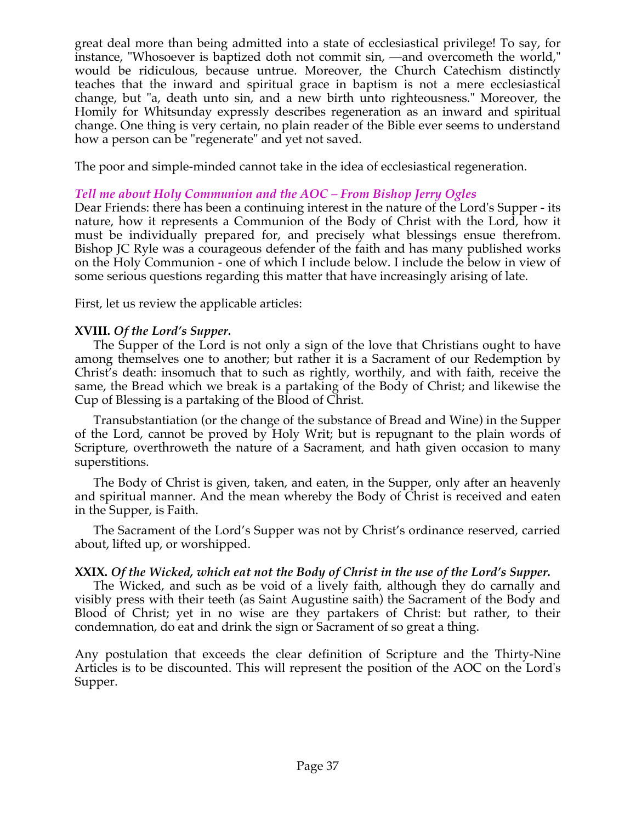great deal more than being admitted into a state of ecclesiastical privilege! To say, for instance, "Whosoever is baptized doth not commit sin, —and overcometh the world," would be ridiculous, because untrue. Moreover, the Church Catechism distinctly teaches that the inward and spiritual grace in baptism is not a mere ecclesiastical change, but "a, death unto sin, and a new birth unto righteousness." Moreover, the Homily for Whitsunday expressly describes regeneration as an inward and spiritual change. One thing is very certain, no plain reader of the Bible ever seems to understand how a person can be "regenerate" and yet not saved.

The poor and simple-minded cannot take in the idea of ecclesiastical regeneration.

## *Tell me about Holy Communion and the AOC – From Bishop Jerry Ogles*

Dear Friends: there has been a continuing interest in the nature of the Lord's Supper - its nature, how it represents a Communion of the Body of Christ with the Lord, how it must be individually prepared for, and precisely what blessings ensue therefrom. Bishop JC Ryle was a courageous defender of the faith and has many published works on the Holy Communion - one of which I include below. I include the below in view of some serious questions regarding this matter that have increasingly arising of late.

First, let us review the applicable articles:

## **XVIII.** *Of the Lord's Supper.*

The Supper of the Lord is not only a sign of the love that Christians ought to have among themselves one to another; but rather it is a Sacrament of our Redemption by Christ's death: insomuch that to such as rightly, worthily, and with faith, receive the same, the Bread which we break is a partaking of the Body of Christ; and likewise the Cup of Blessing is a partaking of the Blood of Christ.

Transubstantiation (or the change of the substance of Bread and Wine) in the Supper of the Lord, cannot be proved by Holy Writ; but is repugnant to the plain words of Scripture, overthroweth the nature of a Sacrament, and hath given occasion to many superstitions.

The Body of Christ is given, taken, and eaten, in the Supper, only after an heavenly and spiritual manner. And the mean whereby the Body of Christ is received and eaten in the Supper, is Faith.

The Sacrament of the Lord's Supper was not by Christ's ordinance reserved, carried about, lifted up, or worshipped.

## **XXIX.** *Of the Wicked, which eat not the Body of Christ in the use of the Lord's Supper.*

The Wicked, and such as be void of a lively faith, although they do carnally and visibly press with their teeth (as Saint Augustine saith) the Sacrament of the Body and Blood of Christ; yet in no wise are they partakers of Christ: but rather, to their condemnation, do eat and drink the sign or Sacrament of so great a thing.

Any postulation that exceeds the clear definition of Scripture and the Thirty-Nine Articles is to be discounted. This will represent the position of the AOC on the Lord's Supper.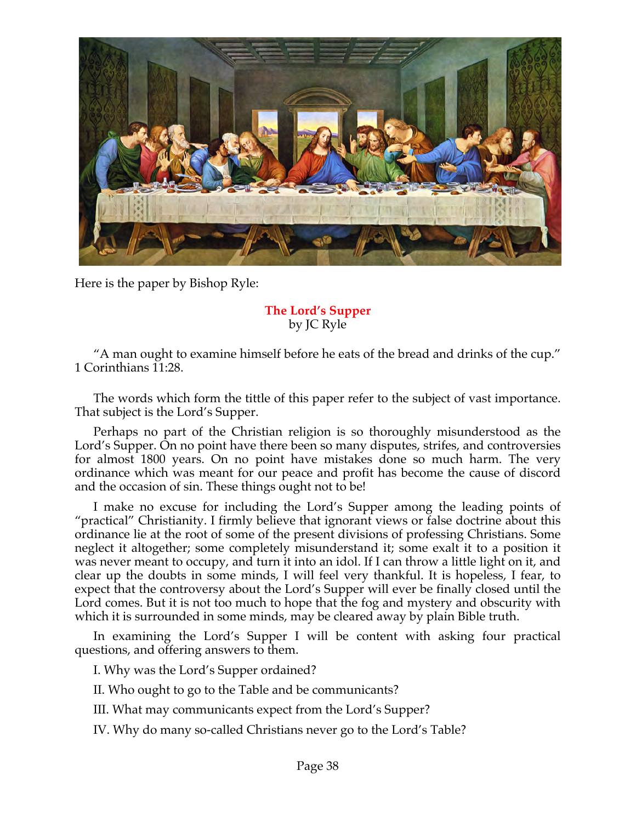

Here is the paper by Bishop Ryle:

#### **The Lord's Supper** by JC Ryle

"A man ought to examine himself before he eats of the bread and drinks of the cup." 1 Corinthians 11:28.

The words which form the tittle of this paper refer to the subject of vast importance. That subject is the Lord's Supper.

Perhaps no part of the Christian religion is so thoroughly misunderstood as the Lord's Supper. On no point have there been so many disputes, strifes, and controversies for almost 1800 years. On no point have mistakes done so much harm. The very ordinance which was meant for our peace and profit has become the cause of discord and the occasion of sin. These things ought not to be!

I make no excuse for including the Lord's Supper among the leading points of "practical" Christianity. I firmly believe that ignorant views or false doctrine about this ordinance lie at the root of some of the present divisions of professing Christians. Some neglect it altogether; some completely misunderstand it; some exalt it to a position it was never meant to occupy, and turn it into an idol. If I can throw a little light on it, and clear up the doubts in some minds, I will feel very thankful. It is hopeless, I fear, to expect that the controversy about the Lord's Supper will ever be finally closed until the Lord comes. But it is not too much to hope that the fog and mystery and obscurity with which it is surrounded in some minds, may be cleared away by plain Bible truth.

In examining the Lord's Supper I will be content with asking four practical questions, and offering answers to them.

I. Why was the Lord's Supper ordained?

II. Who ought to go to the Table and be communicants?

III. What may communicants expect from the Lord's Supper?

IV. Why do many so-called Christians never go to the Lord's Table?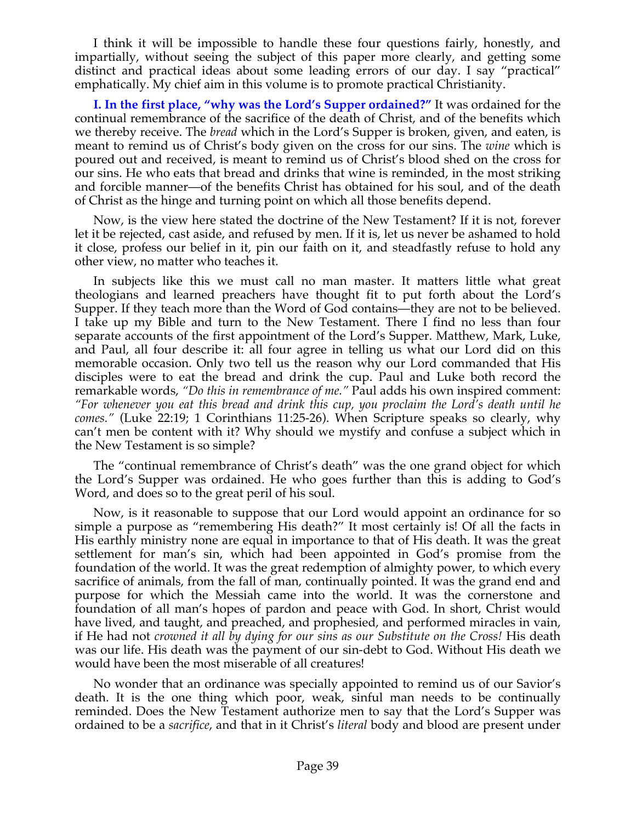I think it will be impossible to handle these four questions fairly, honestly, and impartially, without seeing the subject of this paper more clearly, and getting some distinct and practical ideas about some leading errors of our day. I say "practical" emphatically. My chief aim in this volume is to promote practical Christianity.

**I. In the first place, "why was the Lord's Supper ordained?"** It was ordained for the continual remembrance of the sacrifice of the death of Christ, and of the benefits which we thereby receive. The *bread* which in the Lord's Supper is broken, given, and eaten, is meant to remind us of Christ's body given on the cross for our sins. The *wine* which is poured out and received, is meant to remind us of Christ's blood shed on the cross for our sins. He who eats that bread and drinks that wine is reminded, in the most striking and forcible manner—of the benefits Christ has obtained for his soul, and of the death of Christ as the hinge and turning point on which all those benefits depend.

Now, is the view here stated the doctrine of the New Testament? If it is not, forever let it be rejected, cast aside, and refused by men. If it is, let us never be ashamed to hold it close, profess our belief in it, pin our faith on it, and steadfastly refuse to hold any other view, no matter who teaches it.

In subjects like this we must call no man master. It matters little what great theologians and learned preachers have thought fit to put forth about the Lord's Supper. If they teach more than the Word of God contains—they are not to be believed. I take up my Bible and turn to the New Testament. There I find no less than four separate accounts of the first appointment of the Lord's Supper. Matthew, Mark, Luke, and Paul, all four describe it: all four agree in telling us what our Lord did on this memorable occasion. Only two tell us the reason why our Lord commanded that His disciples were to eat the bread and drink the cup. Paul and Luke both record the remarkable words, *"Do this in remembrance of me."* Paul adds his own inspired comment: *"For whenever you eat this bread and drink this cup, you proclaim the Lord's death until he comes."* (Luke 22:19; 1 Corinthians 11:25-26). When Scripture speaks so clearly, why can't men be content with it? Why should we mystify and confuse a subject which in the New Testament is so simple?

The "continual remembrance of Christ's death" was the one grand object for which the Lord's Supper was ordained. He who goes further than this is adding to God's Word, and does so to the great peril of his soul.

Now, is it reasonable to suppose that our Lord would appoint an ordinance for so simple a purpose as "remembering His death?" It most certainly is! Of all the facts in His earthly ministry none are equal in importance to that of His death. It was the great settlement for man's sin, which had been appointed in God's promise from the foundation of the world. It was the great redemption of almighty power, to which every sacrifice of animals, from the fall of man, continually pointed. It was the grand end and purpose for which the Messiah came into the world. It was the cornerstone and foundation of all man's hopes of pardon and peace with God. In short, Christ would have lived, and taught, and preached, and prophesied, and performed miracles in vain, if He had not *crowned it all by dying for our sins as our Substitute on the Cross!* His death was our life. His death was the payment of our sin-debt to God. Without His death we would have been the most miserable of all creatures!

No wonder that an ordinance was specially appointed to remind us of our Savior's death. It is the one thing which poor, weak, sinful man needs to be continually reminded. Does the New Testament authorize men to say that the Lord's Supper was ordained to be a *sacrifice*, and that in it Christ's *literal* body and blood are present under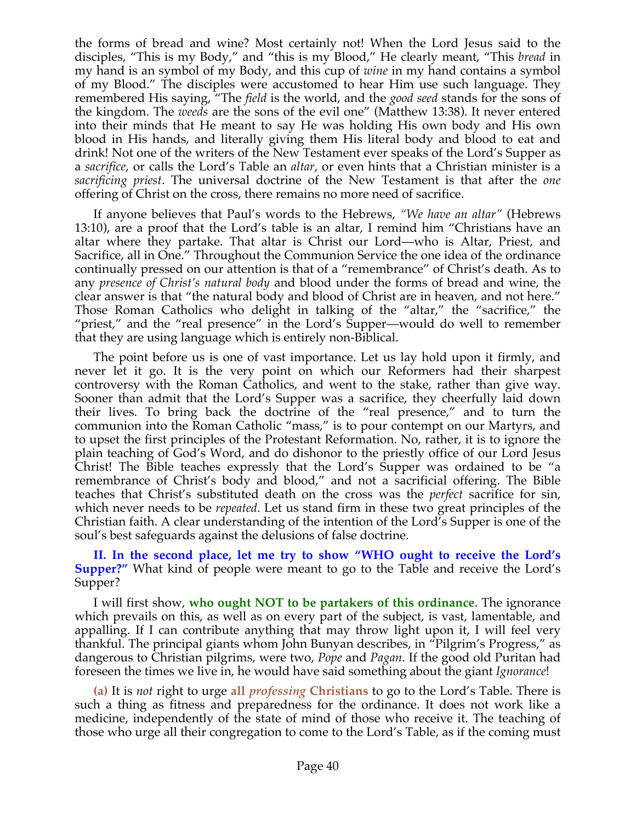the forms of bread and wine? Most certainly not! When the Lord Jesus said to the disciples, "This is my Body," and "this is my Blood," He clearly meant, "This *bread* in my hand is an symbol of my Body, and this cup of *wine* in my hand contains a symbol of my Blood." The disciples were accustomed to hear Him use such language. They remembered His saying, "The *field* is the world, and the *good seed* stands for the sons of the kingdom. The *weeds* are the sons of the evil one" (Matthew 13:38). It never entered into their minds that He meant to say He was holding His own body and His own blood in His hands, and literally giving them His literal body and blood to eat and drink! Not one of the writers of the New Testament ever speaks of the Lord's Supper as a *sacrifice*, or calls the Lord's Table an *altar*, or even hints that a Christian minister is a *sacrificing priest*. The universal doctrine of the New Testament is that after the *one*  offering of Christ on the cross, there remains no more need of sacrifice.

If anyone believes that Paul's words to the Hebrews, *"We have an altar"* (Hebrews 13:10), are a proof that the Lord's table is an altar, I remind him "Christians have an altar where they partake. That altar is Christ our Lord—who is Altar, Priest, and Sacrifice, all in One." Throughout the Communion Service the one idea of the ordinance continually pressed on our attention is that of a "remembrance" of Christ's death. As to any *presence of Christ's natural body* and blood under the forms of bread and wine, the clear answer is that "the natural body and blood of Christ are in heaven, and not here." Those Roman Catholics who delight in talking of the "altar," the "sacrifice," the "priest," and the "real presence" in the Lord's Supper—would do well to remember that they are using language which is entirely non-Biblical.

The point before us is one of vast importance. Let us lay hold upon it firmly, and never let it go. It is the very point on which our Reformers had their sharpest controversy with the Roman Catholics, and went to the stake, rather than give way. Sooner than admit that the Lord's Supper was a sacrifice, they cheerfully laid down their lives. To bring back the doctrine of the "real presence," and to turn the communion into the Roman Catholic "mass," is to pour contempt on our Martyrs, and to upset the first principles of the Protestant Reformation. No, rather, it is to ignore the plain teaching of God's Word, and do dishonor to the priestly office of our Lord Jesus Christ! The Bible teaches expressly that the Lord's Supper was ordained to be "a remembrance of Christ's body and blood," and not a sacrificial offering. The Bible teaches that Christ's substituted death on the cross was the *perfect* sacrifice for sin, which never needs to be *repeated*. Let us stand firm in these two great principles of the Christian faith. A clear understanding of the intention of the Lord's Supper is one of the soul's best safeguards against the delusions of false doctrine.

**II. In the second place, let me try to show "WHO ought to receive the Lord's Supper?"** What kind of people were meant to go to the Table and receive the Lord's Supper?

I will first show, **who ought NOT to be partakers of this ordinance**. The ignorance which prevails on this, as well as on every part of the subject, is vast, lamentable, and appalling. If I can contribute anything that may throw light upon it, I will feel very thankful. The principal giants whom John Bunyan describes, in "Pilgrim's Progress," as dangerous to Christian pilgrims, were two, *Pope* and *Pagan*. If the good old Puritan had foreseen the times we live in, he would have said something about the giant *Ignorance*!

**(a)** It is *not* right to urge **all** *professing* **Christians** to go to the Lord's Table. There is such a thing as fitness and preparedness for the ordinance. It does not work like a medicine, independently of the state of mind of those who receive it. The teaching of those who urge all their congregation to come to the Lord's Table, as if the coming must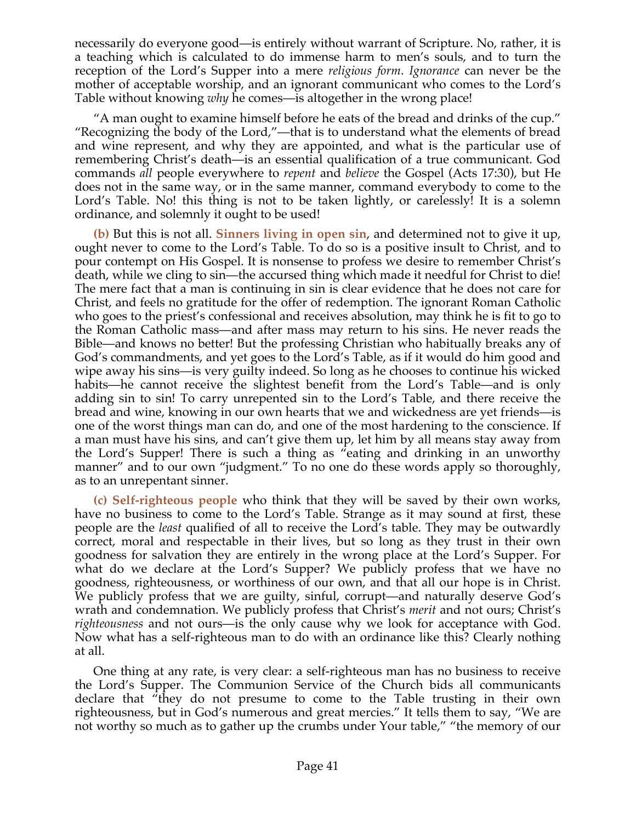necessarily do everyone good—is entirely without warrant of Scripture. No, rather, it is a teaching which is calculated to do immense harm to men's souls, and to turn the reception of the Lord's Supper into a mere *religious form*. *Ignorance* can never be the mother of acceptable worship, and an ignorant communicant who comes to the Lord's Table without knowing *why* he comes—is altogether in the wrong place!

"A man ought to examine himself before he eats of the bread and drinks of the cup." "Recognizing the body of the Lord,"—that is to understand what the elements of bread and wine represent, and why they are appointed, and what is the particular use of remembering Christ's death—is an essential qualification of a true communicant. God commands *all* people everywhere to *repent* and *believe* the Gospel (Acts 17:30), but He does not in the same way, or in the same manner, command everybody to come to the Lord's Table. No! this thing is not to be taken lightly, or carelessly! It is a solemn ordinance, and solemnly it ought to be used!

**(b)** But this is not all. **Sinners living in open sin**, and determined not to give it up, ought never to come to the Lord's Table. To do so is a positive insult to Christ, and to pour contempt on His Gospel. It is nonsense to profess we desire to remember Christ's death, while we cling to sin—the accursed thing which made it needful for Christ to die! The mere fact that a man is continuing in sin is clear evidence that he does not care for Christ, and feels no gratitude for the offer of redemption. The ignorant Roman Catholic who goes to the priest's confessional and receives absolution, may think he is fit to go to the Roman Catholic mass—and after mass may return to his sins. He never reads the Bible—and knows no better! But the professing Christian who habitually breaks any of God's commandments, and yet goes to the Lord's Table, as if it would do him good and wipe away his sins—is very guilty indeed. So long as he chooses to continue his wicked habits—he cannot receive the slightest benefit from the Lord's Table—and is only adding sin to sin! To carry unrepented sin to the Lord's Table, and there receive the bread and wine, knowing in our own hearts that we and wickedness are yet friends—is one of the worst things man can do, and one of the most hardening to the conscience. If a man must have his sins, and can't give them up, let him by all means stay away from the Lord's Supper! There is such a thing as "eating and drinking in an unworthy manner" and to our own "judgment." To no one do these words apply so thoroughly, as to an unrepentant sinner.

**(c) Self-righteous people** who think that they will be saved by their own works, have no business to come to the Lord's Table. Strange as it may sound at first, these people are the *least* qualified of all to receive the Lord's table. They may be outwardly correct, moral and respectable in their lives, but so long as they trust in their own goodness for salvation they are entirely in the wrong place at the Lord's Supper. For what do we declare at the Lord's Supper? We publicly profess that we have no goodness, righteousness, or worthiness of our own, and that all our hope is in Christ. We publicly profess that we are guilty, sinful, corrupt—and naturally deserve God's wrath and condemnation. We publicly profess that Christ's *merit* and not ours; Christ's *righteousness* and not ours—is the only cause why we look for acceptance with God. Now what has a self-righteous man to do with an ordinance like this? Clearly nothing at all.

One thing at any rate, is very clear: a self-righteous man has no business to receive the Lord's Supper. The Communion Service of the Church bids all communicants declare that "they do not presume to come to the Table trusting in their own righteousness, but in God's numerous and great mercies." It tells them to say, "We are not worthy so much as to gather up the crumbs under Your table," "the memory of our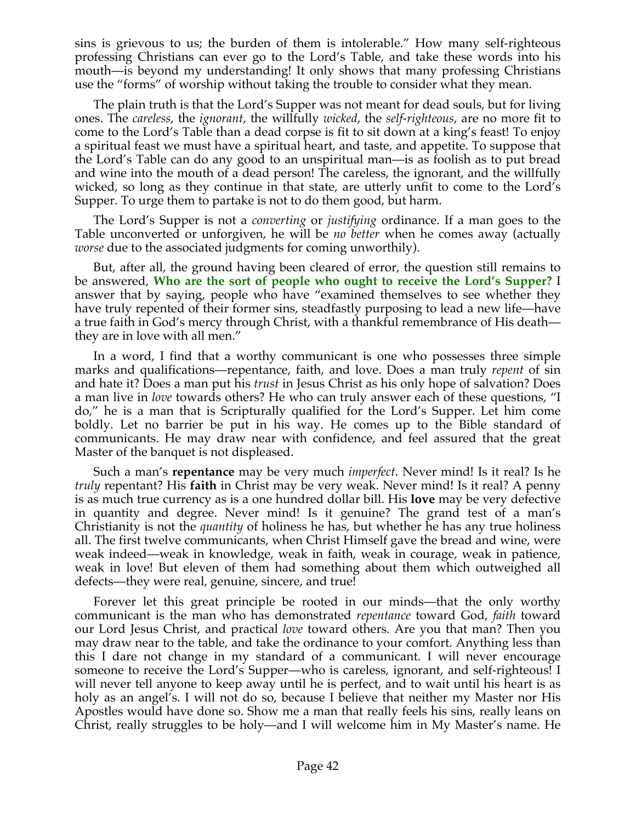sins is grievous to us; the burden of them is intolerable." How many self-righteous professing Christians can ever go to the Lord's Table, and take these words into his mouth—is beyond my understanding! It only shows that many professing Christians use the "forms" of worship without taking the trouble to consider what they mean.

The plain truth is that the Lord's Supper was not meant for dead souls, but for living ones. The *careless*, the *ignorant*, the willfully *wicked*, the *self-righteous*, are no more fit to come to the Lord's Table than a dead corpse is fit to sit down at a king's feast! To enjoy a spiritual feast we must have a spiritual heart, and taste, and appetite. To suppose that the Lord's Table can do any good to an unspiritual man—is as foolish as to put bread and wine into the mouth of a dead person! The careless, the ignorant, and the willfully wicked, so long as they continue in that state, are utterly unfit to come to the Lord's Supper. To urge them to partake is not to do them good, but harm.

The Lord's Supper is not a *converting* or *justifying* ordinance. If a man goes to the Table unconverted or unforgiven, he will be *no better* when he comes away (actually *worse* due to the associated judgments for coming unworthily).

But, after all, the ground having been cleared of error, the question still remains to be answered, **Who are the sort of people who ought to receive the Lord's Supper?** I answer that by saying, people who have "examined themselves to see whether they have truly repented of their former sins, steadfastly purposing to lead a new life—have a true faith in God's mercy through Christ, with a thankful remembrance of His death they are in love with all men."

In a word, I find that a worthy communicant is one who possesses three simple marks and qualifications—repentance, faith, and love. Does a man truly *repent* of sin and hate it? Does a man put his *trust* in Jesus Christ as his only hope of salvation? Does a man live in *love* towards others? He who can truly answer each of these questions, "I do," he is a man that is Scripturally qualified for the Lord's Supper. Let him come boldly. Let no barrier be put in his way. He comes up to the Bible standard of communicants. He may draw near with confidence, and feel assured that the great Master of the banquet is not displeased.

Such a man's **repentance** may be very much *imperfect*. Never mind! Is it real? Is he *truly* repentant? His **faith** in Christ may be very weak. Never mind! Is it real? A penny is as much true currency as is a one hundred dollar bill. His **love** may be very defective in quantity and degree. Never mind! Is it genuine? The grand test of a man's Christianity is not the *quantity* of holiness he has, but whether he has any true holiness all. The first twelve communicants, when Christ Himself gave the bread and wine, were weak indeed—weak in knowledge, weak in faith, weak in courage, weak in patience, weak in love! But eleven of them had something about them which outweighed all defects—they were real, genuine, sincere, and true!

Forever let this great principle be rooted in our minds—that the only worthy communicant is the man who has demonstrated *repentance* toward God, *faith* toward our Lord Jesus Christ, and practical *love* toward others. Are you that man? Then you may draw near to the table, and take the ordinance to your comfort. Anything less than this I dare not change in my standard of a communicant. I will never encourage someone to receive the Lord's Supper—who is careless, ignorant, and self-righteous! I will never tell anyone to keep away until he is perfect, and to wait until his heart is as holy as an angel's. I will not do so, because I believe that neither my Master nor His Apostles would have done so. Show me a man that really feels his sins, really leans on Christ, really struggles to be holy—and I will welcome him in My Master's name. He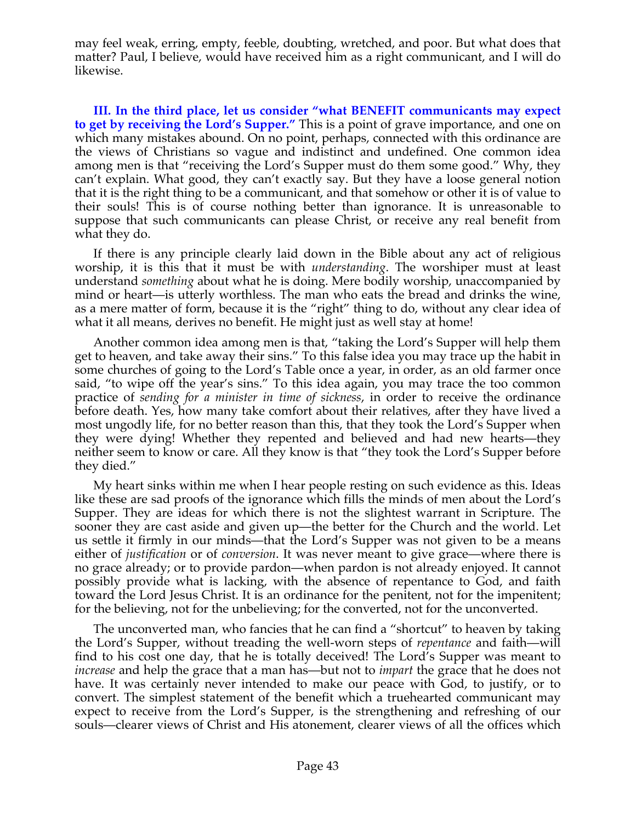may feel weak, erring, empty, feeble, doubting, wretched, and poor. But what does that matter? Paul, I believe, would have received him as a right communicant, and I will do likewise.

**III. In the third place, let us consider "what BENEFIT communicants may expect to get by receiving the Lord's Supper."** This is a point of grave importance, and one on which many mistakes abound. On no point, perhaps, connected with this ordinance are the views of Christians so vague and indistinct and undefined. One common idea among men is that "receiving the Lord's Supper must do them some good." Why, they can't explain. What good, they can't exactly say. But they have a loose general notion that it is the right thing to be a communicant, and that somehow or other it is of value to their souls! This is of course nothing better than ignorance. It is unreasonable to suppose that such communicants can please Christ, or receive any real benefit from what they do.

If there is any principle clearly laid down in the Bible about any act of religious worship, it is this that it must be with *understanding*. The worshiper must at least understand *something* about what he is doing. Mere bodily worship, unaccompanied by mind or heart—is utterly worthless. The man who eats the bread and drinks the wine, as a mere matter of form, because it is the "right" thing to do, without any clear idea of what it all means, derives no benefit. He might just as well stay at home!

Another common idea among men is that, "taking the Lord's Supper will help them get to heaven, and take away their sins." To this false idea you may trace up the habit in some churches of going to the Lord's Table once a year, in order, as an old farmer once said, "to wipe off the year's sins." To this idea again, you may trace the too common practice of *sending for a minister in time of sickness*, in order to receive the ordinance before death. Yes, how many take comfort about their relatives, after they have lived a most ungodly life, for no better reason than this, that they took the Lord's Supper when they were dying! Whether they repented and believed and had new hearts—they neither seem to know or care. All they know is that "they took the Lord's Supper before they died."

My heart sinks within me when I hear people resting on such evidence as this. Ideas like these are sad proofs of the ignorance which fills the minds of men about the Lord's Supper. They are ideas for which there is not the slightest warrant in Scripture. The sooner they are cast aside and given up—the better for the Church and the world. Let us settle it firmly in our minds—that the Lord's Supper was not given to be a means either of *justification* or of *conversion*. It was never meant to give grace—where there is no grace already; or to provide pardon—when pardon is not already enjoyed. It cannot possibly provide what is lacking, with the absence of repentance to God, and faith toward the Lord Jesus Christ. It is an ordinance for the penitent, not for the impenitent; for the believing, not for the unbelieving; for the converted, not for the unconverted.

The unconverted man, who fancies that he can find a "shortcut" to heaven by taking the Lord's Supper, without treading the well-worn steps of *repentance* and faith—will find to his cost one day, that he is totally deceived! The Lord's Supper was meant to *increase* and help the grace that a man has—but not to *impart* the grace that he does not have. It was certainly never intended to make our peace with God, to justify, or to convert. The simplest statement of the benefit which a truehearted communicant may expect to receive from the Lord's Supper, is the strengthening and refreshing of our souls—clearer views of Christ and His atonement, clearer views of all the offices which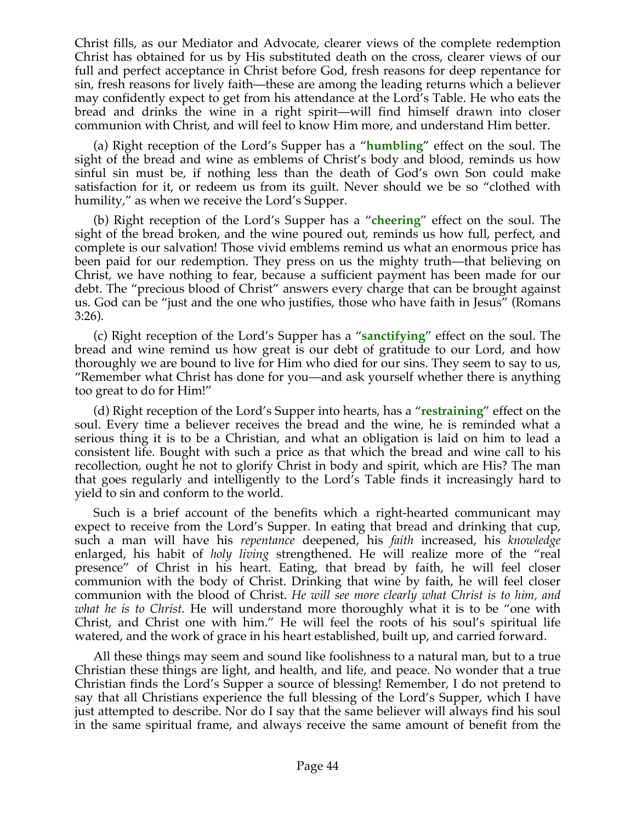Christ fills, as our Mediator and Advocate, clearer views of the complete redemption Christ has obtained for us by His substituted death on the cross, clearer views of our full and perfect acceptance in Christ before God, fresh reasons for deep repentance for sin, fresh reasons for lively faith—these are among the leading returns which a believer may confidently expect to get from his attendance at the Lord's Table. He who eats the bread and drinks the wine in a right spirit—will find himself drawn into closer communion with Christ, and will feel to know Him more, and understand Him better.

(a) Right reception of the Lord's Supper has a "**humbling**" effect on the soul. The sight of the bread and wine as emblems of Christ's body and blood, reminds us how sinful sin must be, if nothing less than the death of God's own Son could make satisfaction for it, or redeem us from its guilt. Never should we be so "clothed with humility," as when we receive the Lord's Supper.

(b) Right reception of the Lord's Supper has a "**cheering**" effect on the soul. The sight of the bread broken, and the wine poured out, reminds us how full, perfect, and complete is our salvation! Those vivid emblems remind us what an enormous price has been paid for our redemption. They press on us the mighty truth—that believing on Christ, we have nothing to fear, because a sufficient payment has been made for our debt. The "precious blood of Christ" answers every charge that can be brought against us. God can be "just and the one who justifies, those who have faith in Jesus" (Romans 3:26).

(c) Right reception of the Lord's Supper has a "**sanctifying**" effect on the soul. The bread and wine remind us how great is our debt of gratitude to our Lord, and how thoroughly we are bound to live for Him who died for our sins. They seem to say to us, "Remember what Christ has done for you—and ask yourself whether there is anything too great to do for Him!"

(d) Right reception of the Lord's Supper into hearts, has a "**restraining**" effect on the soul. Every time a believer receives the bread and the wine, he is reminded what a serious thing it is to be a Christian, and what an obligation is laid on him to lead a consistent life. Bought with such a price as that which the bread and wine call to his recollection, ought he not to glorify Christ in body and spirit, which are His? The man that goes regularly and intelligently to the Lord's Table finds it increasingly hard to yield to sin and conform to the world.

Such is a brief account of the benefits which a right-hearted communicant may expect to receive from the Lord's Supper. In eating that bread and drinking that cup, such a man will have his *repentance* deepened, his *faith* increased, his *knowledge*  enlarged, his habit of *holy living* strengthened. He will realize more of the "real presence" of Christ in his heart. Eating, that bread by faith, he will feel closer communion with the body of Christ. Drinking that wine by faith, he will feel closer communion with the blood of Christ. *He will see more clearly what Christ is to him, and what he is to Christ.* He will understand more thoroughly what it is to be "one with Christ, and Christ one with him." He will feel the roots of his soul's spiritual life watered, and the work of grace in his heart established, built up, and carried forward.

All these things may seem and sound like foolishness to a natural man, but to a true Christian these things are light, and health, and life, and peace. No wonder that a true Christian finds the Lord's Supper a source of blessing! Remember, I do not pretend to say that all Christians experience the full blessing of the Lord's Supper, which I have just attempted to describe. Nor do I say that the same believer will always find his soul in the same spiritual frame, and always receive the same amount of benefit from the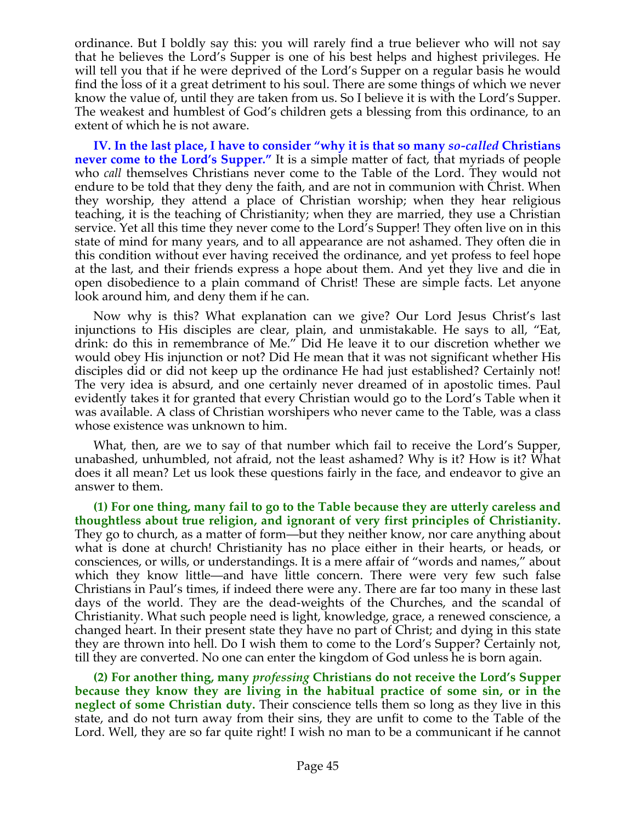ordinance. But I boldly say this: you will rarely find a true believer who will not say that he believes the Lord's Supper is one of his best helps and highest privileges. He will tell you that if he were deprived of the Lord's Supper on a regular basis he would find the loss of it a great detriment to his soul. There are some things of which we never know the value of, until they are taken from us. So I believe it is with the Lord's Supper. The weakest and humblest of God's children gets a blessing from this ordinance, to an extent of which he is not aware.

**IV. In the last place, I have to consider "why it is that so many** *so-called* **Christians never come to the Lord's Supper."** It is a simple matter of fact, that myriads of people who *call* themselves Christians never come to the Table of the Lord. They would not endure to be told that they deny the faith, and are not in communion with Christ. When they worship, they attend a place of Christian worship; when they hear religious teaching, it is the teaching of Christianity; when they are married, they use a Christian service. Yet all this time they never come to the Lord's Supper! They often live on in this state of mind for many years, and to all appearance are not ashamed. They often die in this condition without ever having received the ordinance, and yet profess to feel hope at the last, and their friends express a hope about them. And yet they live and die in open disobedience to a plain command of Christ! These are simple facts. Let anyone look around him, and deny them if he can.

Now why is this? What explanation can we give? Our Lord Jesus Christ's last injunctions to His disciples are clear, plain, and unmistakable. He says to all, "Eat, drink: do this in remembrance of Me." Did He leave it to our discretion whether we would obey His injunction or not? Did He mean that it was not significant whether His disciples did or did not keep up the ordinance He had just established? Certainly not! The very idea is absurd, and one certainly never dreamed of in apostolic times. Paul evidently takes it for granted that every Christian would go to the Lord's Table when it was available. A class of Christian worshipers who never came to the Table, was a class whose existence was unknown to him.

What, then, are we to say of that number which fail to receive the Lord's Supper, unabashed, unhumbled, not afraid, not the least ashamed? Why is it? How is it? What does it all mean? Let us look these questions fairly in the face, and endeavor to give an answer to them.

**(1) For one thing, many fail to go to the Table because they are utterly careless and thoughtless about true religion, and ignorant of very first principles of Christianity.** They go to church, as a matter of form—but they neither know, nor care anything about what is done at church! Christianity has no place either in their hearts, or heads, or consciences, or wills, or understandings. It is a mere affair of "words and names," about which they know little—and have little concern. There were very few such false Christians in Paul's times, if indeed there were any. There are far too many in these last days of the world. They are the dead-weights of the Churches, and the scandal of Christianity. What such people need is light, knowledge, grace, a renewed conscience, a changed heart. In their present state they have no part of Christ; and dying in this state they are thrown into hell. Do I wish them to come to the Lord's Supper? Certainly not, till they are converted. No one can enter the kingdom of God unless he is born again.

**(2) For another thing, many** *professing* **Christians do not receive the Lord's Supper because they know they are living in the habitual practice of some sin, or in the neglect of some Christian duty.** Their conscience tells them so long as they live in this state, and do not turn away from their sins, they are unfit to come to the Table of the Lord. Well, they are so far quite right! I wish no man to be a communicant if he cannot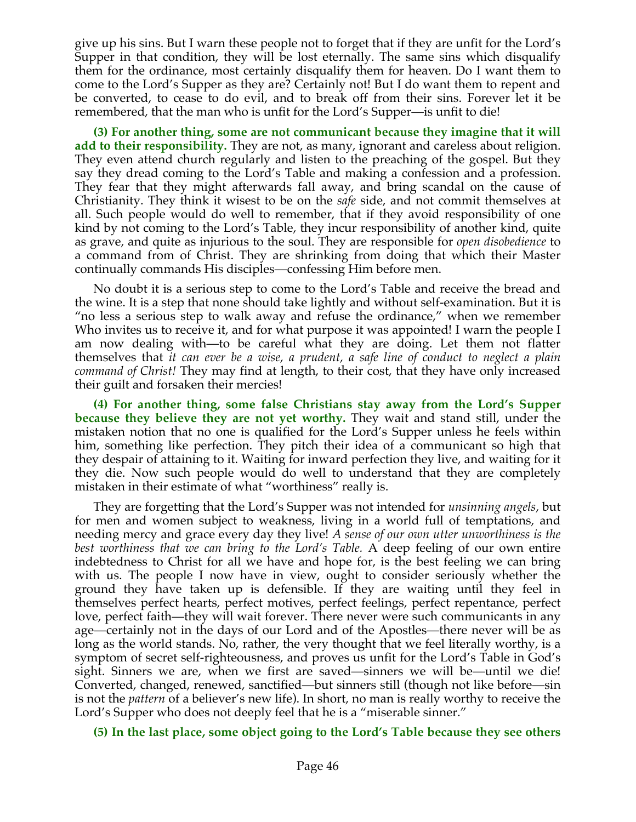give up his sins. But I warn these people not to forget that if they are unfit for the Lord's Supper in that condition, they will be lost eternally. The same sins which disqualify them for the ordinance, most certainly disqualify them for heaven. Do I want them to come to the Lord's Supper as they are? Certainly not! But I do want them to repent and be converted, to cease to do evil, and to break off from their sins. Forever let it be remembered, that the man who is unfit for the Lord's Supper—is unfit to die!

**(3) For another thing, some are not communicant because they imagine that it will add to their responsibility.** They are not, as many, ignorant and careless about religion. They even attend church regularly and listen to the preaching of the gospel. But they say they dread coming to the Lord's Table and making a confession and a profession. They fear that they might afterwards fall away, and bring scandal on the cause of Christianity. They think it wisest to be on the *safe* side, and not commit themselves at all. Such people would do well to remember, that if they avoid responsibility of one kind by not coming to the Lord's Table, they incur responsibility of another kind, quite as grave, and quite as injurious to the soul. They are responsible for *open disobedience* to a command from of Christ. They are shrinking from doing that which their Master continually commands His disciples—confessing Him before men.

No doubt it is a serious step to come to the Lord's Table and receive the bread and the wine. It is a step that none should take lightly and without self-examination. But it is "no less a serious step to walk away and refuse the ordinance," when we remember Who invites us to receive it, and for what purpose it was appointed! I warn the people I am now dealing with—to be careful what they are doing. Let them not flatter themselves that *it can ever be a wise, a prudent, a safe line of conduct to neglect a plain command of Christ!* They may find at length, to their cost, that they have only increased their guilt and forsaken their mercies!

**(4) For another thing, some false Christians stay away from the Lord's Supper because they believe they are not yet worthy.** They wait and stand still, under the mistaken notion that no one is qualified for the Lord's Supper unless he feels within him, something like perfection. They pitch their idea of a communicant so high that they despair of attaining to it. Waiting for inward perfection they live, and waiting for it they die. Now such people would do well to understand that they are completely mistaken in their estimate of what "worthiness" really is.

They are forgetting that the Lord's Supper was not intended for *unsinning angels*, but for men and women subject to weakness, living in a world full of temptations, and needing mercy and grace every day they live! *A sense of our own utter unworthiness is the best worthiness that we can bring to the Lord's Table.* A deep feeling of our own entire indebtedness to Christ for all we have and hope for, is the best feeling we can bring with us. The people I now have in view, ought to consider seriously whether the ground they have taken up is defensible. If they are waiting until they feel in themselves perfect hearts, perfect motives, perfect feelings, perfect repentance, perfect love, perfect faith—they will wait forever. There never were such communicants in any age—certainly not in the days of our Lord and of the Apostles—there never will be as long as the world stands. No, rather, the very thought that we feel literally worthy, is a symptom of secret self-righteousness, and proves us unfit for the Lord's Table in God's sight. Sinners we are, when we first are saved—sinners we will be—until we die! Converted, changed, renewed, sanctified—but sinners still (though not like before—sin is not the *pattern* of a believer's new life). In short, no man is really worthy to receive the Lord's Supper who does not deeply feel that he is a "miserable sinner."

### **(5) In the last place, some object going to the Lord's Table because they see others**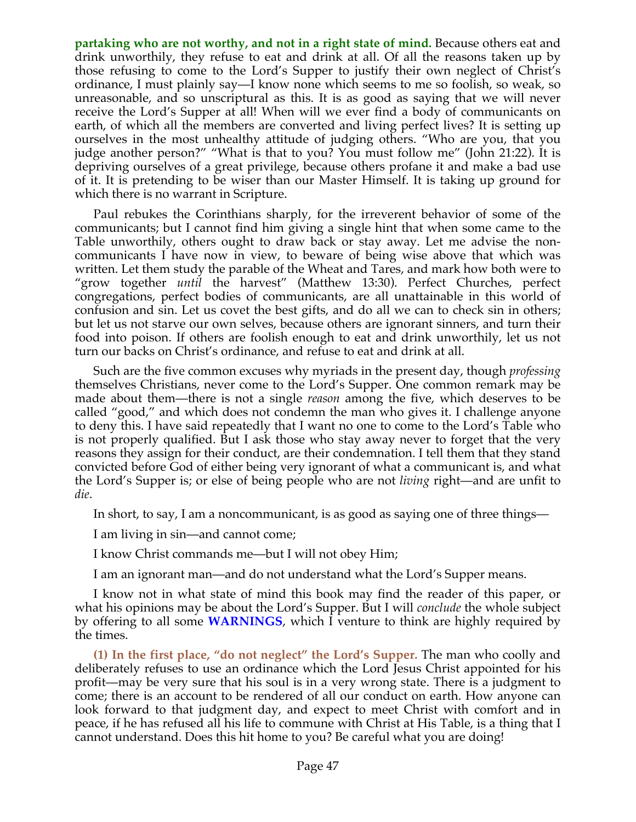**partaking who are not worthy, and not in a right state of mind.** Because others eat and drink unworthily, they refuse to eat and drink at all. Of all the reasons taken up by those refusing to come to the Lord's Supper to justify their own neglect of Christ's ordinance, I must plainly say—I know none which seems to me so foolish, so weak, so unreasonable, and so unscriptural as this. It is as good as saying that we will never receive the Lord's Supper at all! When will we ever find a body of communicants on earth, of which all the members are converted and living perfect lives? It is setting up ourselves in the most unhealthy attitude of judging others. "Who are you, that you judge another person?" "What is that to you? You must follow me" (John 21:22). It is depriving ourselves of a great privilege, because others profane it and make a bad use of it. It is pretending to be wiser than our Master Himself. It is taking up ground for which there is no warrant in Scripture.

Paul rebukes the Corinthians sharply, for the irreverent behavior of some of the communicants; but I cannot find him giving a single hint that when some came to the Table unworthily, others ought to draw back or stay away. Let me advise the noncommunicants I have now in view, to beware of being wise above that which was written. Let them study the parable of the Wheat and Tares, and mark how both were to "grow together *until* the harvest" (Matthew 13:30). Perfect Churches, perfect congregations, perfect bodies of communicants, are all unattainable in this world of confusion and sin. Let us covet the best gifts, and do all we can to check sin in others; but let us not starve our own selves, because others are ignorant sinners, and turn their food into poison. If others are foolish enough to eat and drink unworthily, let us not turn our backs on Christ's ordinance, and refuse to eat and drink at all.

Such are the five common excuses why myriads in the present day, though *professing*  themselves Christians, never come to the Lord's Supper. One common remark may be made about them—there is not a single *reason* among the five, which deserves to be called "good," and which does not condemn the man who gives it. I challenge anyone to deny this. I have said repeatedly that I want no one to come to the Lord's Table who is not properly qualified. But I ask those who stay away never to forget that the very reasons they assign for their conduct, are their condemnation. I tell them that they stand convicted before God of either being very ignorant of what a communicant is, and what the Lord's Supper is; or else of being people who are not *living* right—and are unfit to *die*.

In short, to say, I am a noncommunicant, is as good as saying one of three things—

I am living in sin—and cannot come;

I know Christ commands me—but I will not obey Him;

I am an ignorant man—and do not understand what the Lord's Supper means.

I know not in what state of mind this book may find the reader of this paper, or what his opinions may be about the Lord's Supper. But I will *conclude* the whole subject by offering to all some **WARNINGS**, which I venture to think are highly required by the times.

**(1) In the first place, "do not neglect" the Lord's Supper.** The man who coolly and deliberately refuses to use an ordinance which the Lord Jesus Christ appointed for his profit—may be very sure that his soul is in a very wrong state. There is a judgment to come; there is an account to be rendered of all our conduct on earth. How anyone can look forward to that judgment day, and expect to meet Christ with comfort and in peace, if he has refused all his life to commune with Christ at His Table, is a thing that I cannot understand. Does this hit home to you? Be careful what you are doing!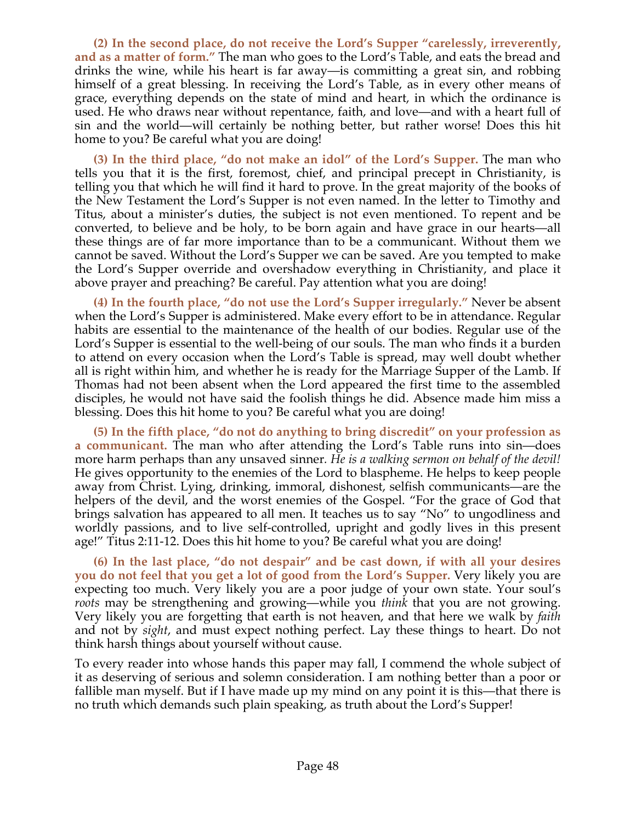**(2) In the second place, do not receive the Lord's Supper "carelessly, irreverently, and as a matter of form."** The man who goes to the Lord's Table, and eats the bread and drinks the wine, while his heart is far away—is committing a great sin, and robbing himself of a great blessing. In receiving the Lord's Table, as in every other means of grace, everything depends on the state of mind and heart, in which the ordinance is used. He who draws near without repentance, faith, and love—and with a heart full of sin and the world—will certainly be nothing better, but rather worse! Does this hit home to you? Be careful what you are doing!

**(3) In the third place, "do not make an idol" of the Lord's Supper.** The man who tells you that it is the first, foremost, chief, and principal precept in Christianity, is telling you that which he will find it hard to prove. In the great majority of the books of the New Testament the Lord's Supper is not even named. In the letter to Timothy and Titus, about a minister's duties, the subject is not even mentioned. To repent and be converted, to believe and be holy, to be born again and have grace in our hearts—all these things are of far more importance than to be a communicant. Without them we cannot be saved. Without the Lord's Supper we can be saved. Are you tempted to make the Lord's Supper override and overshadow everything in Christianity, and place it above prayer and preaching? Be careful. Pay attention what you are doing!

**(4) In the fourth place, "do not use the Lord's Supper irregularly."** Never be absent when the Lord's Supper is administered. Make every effort to be in attendance. Regular habits are essential to the maintenance of the health of our bodies. Regular use of the Lord's Supper is essential to the well-being of our souls. The man who finds it a burden to attend on every occasion when the Lord's Table is spread, may well doubt whether all is right within him, and whether he is ready for the Marriage Supper of the Lamb. If Thomas had not been absent when the Lord appeared the first time to the assembled disciples, he would not have said the foolish things he did. Absence made him miss a blessing. Does this hit home to you? Be careful what you are doing!

**(5) In the fifth place, "do not do anything to bring discredit" on your profession as a communicant.** The man who after attending the Lord's Table runs into sin—does more harm perhaps than any unsaved sinner*. He is a walking sermon on behalf of the devil!*  He gives opportunity to the enemies of the Lord to blaspheme. He helps to keep people away from Christ. Lying, drinking, immoral, dishonest, selfish communicants—are the helpers of the devil, and the worst enemies of the Gospel. "For the grace of God that brings salvation has appeared to all men. It teaches us to say "No" to ungodliness and worldly passions, and to live self-controlled, upright and godly lives in this present age!" Titus 2:11-12. Does this hit home to you? Be careful what you are doing!

**(6) In the last place, "do not despair" and be cast down, if with all your desires you do not feel that you get a lot of good from the Lord's Supper.** Very likely you are expecting too much. Very likely you are a poor judge of your own state. Your soul's *roots* may be strengthening and growing—while you *think* that you are not growing. Very likely you are forgetting that earth is not heaven, and that here we walk by *faith*  and not by *sight*, and must expect nothing perfect. Lay these things to heart. Do not think harsh things about yourself without cause.

To every reader into whose hands this paper may fall, I commend the whole subject of it as deserving of serious and solemn consideration. I am nothing better than a poor or fallible man myself. But if I have made up my mind on any point it is this—that there is no truth which demands such plain speaking, as truth about the Lord's Supper!